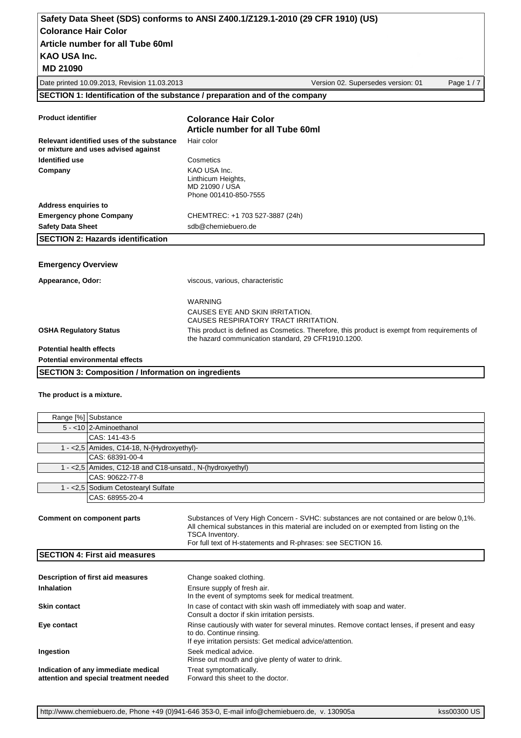| Safety Data Sheet (SDS) conforms to ANSI Z400.1/Z129.1-2010 (29 CFR 1910) (US) |  |
|--------------------------------------------------------------------------------|--|
| Colorance Hair Color                                                           |  |
| Article number for all Tube 60ml                                               |  |
| KAO USA Inc.                                                                   |  |
|                                                                                |  |

 **MD 21090**

Date printed 10.09.2013, Revision 11.03.2013 Version 02. Supersedes version: 01 Page 1 / 7

#### **SECTION 1: Identification of the substance / preparation and of the company**

| <b>Product identifier</b>                                                        | <b>Colorance Hair Color</b>                                                                                                                         |
|----------------------------------------------------------------------------------|-----------------------------------------------------------------------------------------------------------------------------------------------------|
|                                                                                  | Article number for all Tube 60ml                                                                                                                    |
| Relevant identified uses of the substance<br>or mixture and uses advised against | Hair color                                                                                                                                          |
| <b>Identified use</b>                                                            | Cosmetics                                                                                                                                           |
| Company                                                                          | KAO USA Inc.<br>Linthicum Heights,<br>MD 21090 / USA<br>Phone 001410-850-7555                                                                       |
| <b>Address enquiries to</b>                                                      |                                                                                                                                                     |
| <b>Emergency phone Company</b>                                                   | CHEMTREC: +1 703 527-3887 (24h)                                                                                                                     |
| <b>Safety Data Sheet</b>                                                         | sdb@chemiebuero.de                                                                                                                                  |
| <b>SECTION 2: Hazards identification</b>                                         |                                                                                                                                                     |
|                                                                                  |                                                                                                                                                     |
| <b>Emergency Overview</b>                                                        |                                                                                                                                                     |
| Appearance, Odor:                                                                | viscous, various, characteristic                                                                                                                    |
|                                                                                  | <b>WARNING</b>                                                                                                                                      |
|                                                                                  | CAUSES EYE AND SKIN IRRITATION.<br>CAUSES RESPIRATORY TRACT IRRITATION.                                                                             |
| <b>OSHA Regulatory Status</b>                                                    | This product is defined as Cosmetics. Therefore, this product is exempt from requirements of<br>the hazard communication standard, 29 CFR1910.1200. |
| <b>Potential health effects</b>                                                  |                                                                                                                                                     |
| <b>Potential environmental effects</b>                                           |                                                                                                                                                     |
| <b>SECTION 3: Composition / Information on ingredients</b>                       |                                                                                                                                                     |

#### **The product is a mixture.**

|                                                                                                                                                                                                           | Range [%] Substance                                                           |                                                                                                                                                                                      |  |
|-----------------------------------------------------------------------------------------------------------------------------------------------------------------------------------------------------------|-------------------------------------------------------------------------------|--------------------------------------------------------------------------------------------------------------------------------------------------------------------------------------|--|
|                                                                                                                                                                                                           | 5 - <10 2-Aminoethanol                                                        |                                                                                                                                                                                      |  |
|                                                                                                                                                                                                           | CAS: 141-43-5                                                                 |                                                                                                                                                                                      |  |
|                                                                                                                                                                                                           | 1 - < 2,5   Amides, C14-18, N- $(Hydroxyethyl)$ -                             |                                                                                                                                                                                      |  |
|                                                                                                                                                                                                           | CAS: 68391-00-4                                                               |                                                                                                                                                                                      |  |
|                                                                                                                                                                                                           | 1 - < 2,5 Amides, C12-18 and C18-unsatd., N-(hydroxyethyl)                    |                                                                                                                                                                                      |  |
|                                                                                                                                                                                                           | CAS: 90622-77-8                                                               |                                                                                                                                                                                      |  |
|                                                                                                                                                                                                           | 1 - < 2,5 Sodium Cetostearyl Sulfate                                          |                                                                                                                                                                                      |  |
|                                                                                                                                                                                                           | CAS: 68955-20-4                                                               |                                                                                                                                                                                      |  |
| Comment on component parts<br>All chemical substances in this material are included on or exempted from listing on the<br>TSCA Inventory.<br>For full text of H-statements and R-phrases: see SECTION 16. |                                                                               | Substances of Very High Concern - SVHC: substances are not contained or are below 0,1%.                                                                                              |  |
|                                                                                                                                                                                                           | <b>SECTION 4: First aid measures</b>                                          |                                                                                                                                                                                      |  |
|                                                                                                                                                                                                           | Description of first aid measures                                             | Change soaked clothing.                                                                                                                                                              |  |
| Inhalation                                                                                                                                                                                                |                                                                               | Ensure supply of fresh air.<br>In the event of symptoms seek for medical treatment.                                                                                                  |  |
| <b>Skin contact</b>                                                                                                                                                                                       |                                                                               | In case of contact with skin wash off immediately with soap and water.<br>Consult a doctor if skin irritation persists.                                                              |  |
| Eye contact                                                                                                                                                                                               |                                                                               | Rinse cautiously with water for several minutes. Remove contact lenses, if present and easy<br>to do. Continue rinsing.<br>If eye irritation persists: Get medical advice/attention. |  |
| Ingestion                                                                                                                                                                                                 |                                                                               | Seek medical advice.<br>Rinse out mouth and give plenty of water to drink.                                                                                                           |  |
|                                                                                                                                                                                                           | Indication of any immediate medical<br>attention and special treatment needed | Treat symptomatically.<br>Forward this sheet to the doctor.                                                                                                                          |  |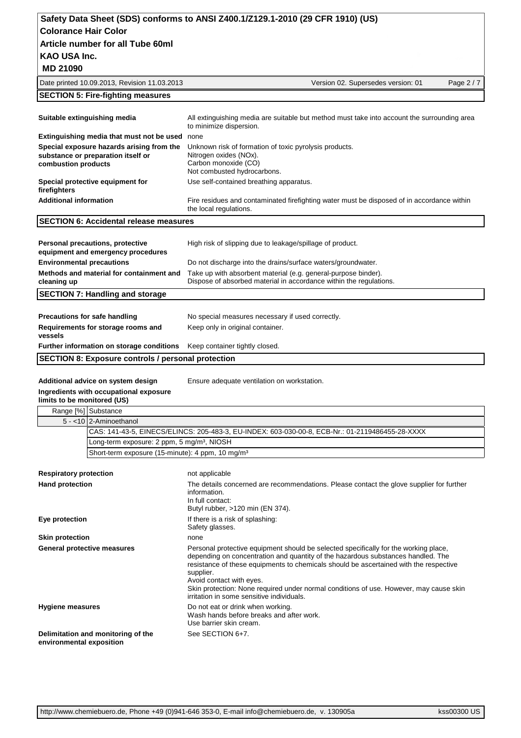| Safety Data Sheet (SDS) conforms to ANSI Z400.1/Z129.1-2010 (29 CFR 1910) (US) |                                    |          |
|--------------------------------------------------------------------------------|------------------------------------|----------|
| <b>Colorance Hair Color</b>                                                    |                                    |          |
| Article number for all Tube 60ml                                               |                                    |          |
| KAO USA Inc.                                                                   |                                    |          |
| <b>MD 21090</b>                                                                |                                    |          |
| Date printed 10.09.2013, Revision 11.03.2013                                   | Version 02. Supersedes version: 01 | Page 2/7 |
| <b>SECTION 5: Fire-fighting measures</b>                                       |                                    |          |
|                                                                                |                                    |          |

| Suitable extinguishing media                                                                           | All extinguishing media are suitable but method must take into account the surrounding area<br>to minimize dispersion.                  |
|--------------------------------------------------------------------------------------------------------|-----------------------------------------------------------------------------------------------------------------------------------------|
| Extinguishing media that must not be used                                                              | none                                                                                                                                    |
| Special exposure hazards arising from the<br>substance or preparation itself or<br>combustion products | Unknown risk of formation of toxic pyrolysis products.<br>Nitrogen oxides (NOx).<br>Carbon monoxide (CO)<br>Not combusted hydrocarbons. |
| Special protective equipment for<br>firefighters                                                       | Use self-contained breathing apparatus.                                                                                                 |
| <b>Additional information</b>                                                                          | Fire residues and contaminated firefighting water must be disposed of in accordance within<br>the local regulations.                    |
| <b>SECTION 6: Accidental release measures</b>                                                          |                                                                                                                                         |
|                                                                                                        |                                                                                                                                         |
| Personal precautions, protective<br>equipment and emergency procedures                                 | High risk of slipping due to leakage/spillage of product.                                                                               |
| <b>Environmental precautions</b>                                                                       | Do not discharge into the drains/surface waters/groundwater.                                                                            |
| Methods and material for containment and<br>cleaning up                                                | Take up with absorbent material (e.g. general-purpose binder).<br>Dispose of absorbed material in accordance within the regulations.    |
| <b>SECTION 7: Handling and storage</b>                                                                 |                                                                                                                                         |
|                                                                                                        |                                                                                                                                         |
| <b>Precautions for safe handling</b>                                                                   | No special measures necessary if used correctly.                                                                                        |
| Requirements for storage rooms and<br>vessels                                                          | Keep only in original container.                                                                                                        |

**Further information on storage conditions** Keep container tightly closed.

**SECTION 8: Exposure controls / personal protection**

Additional advice on system design **Ensure adequate ventilation on workstation**.

**Ingredients with occupational exposure** 

**limits to be monitored (US)**

| Range [%] Substance |                                                                                                 |
|---------------------|-------------------------------------------------------------------------------------------------|
|                     | $5 - 10$ 2-Aminoethanol                                                                         |
|                     | CAS: 141-43-5, EINECS/ELINCS: 205-483-3, EU-INDEX: 603-030-00-8, ECB-Nr.: 01-2119486455-28-XXXX |
|                     | Long-term exposure: 2 ppm, 5 mg/m <sup>3</sup> , NIOSH                                          |
|                     | Short-term exposure (15-minute): 4 ppm, 10 mg/m <sup>3</sup>                                    |
|                     |                                                                                                 |

| <b>Respiratory protection</b>                                  | not applicable                                                                                                                                                                                                                                                                                                                                                                                                                                    |
|----------------------------------------------------------------|---------------------------------------------------------------------------------------------------------------------------------------------------------------------------------------------------------------------------------------------------------------------------------------------------------------------------------------------------------------------------------------------------------------------------------------------------|
| <b>Hand protection</b>                                         | The details concerned are recommendations. Please contact the glove supplier for further<br>information.<br>In full contact:<br>Butyl rubber, >120 min (EN 374).                                                                                                                                                                                                                                                                                  |
| Eye protection                                                 | If there is a risk of splashing:<br>Safety glasses.                                                                                                                                                                                                                                                                                                                                                                                               |
| <b>Skin protection</b>                                         | none                                                                                                                                                                                                                                                                                                                                                                                                                                              |
| General protective measures                                    | Personal protective equipment should be selected specifically for the working place,<br>depending on concentration and quantity of the hazardous substances handled. The<br>resistance of these equipments to chemicals should be ascertained with the respective<br>supplier.<br>Avoid contact with eyes.<br>Skin protection: None required under normal conditions of use. However, may cause skin<br>irritation in some sensitive individuals. |
| <b>Hygiene measures</b>                                        | Do not eat or drink when working.<br>Wash hands before breaks and after work.<br>Use barrier skin cream.                                                                                                                                                                                                                                                                                                                                          |
| Delimitation and monitoring of the<br>environmental exposition | See SECTION 6+7.                                                                                                                                                                                                                                                                                                                                                                                                                                  |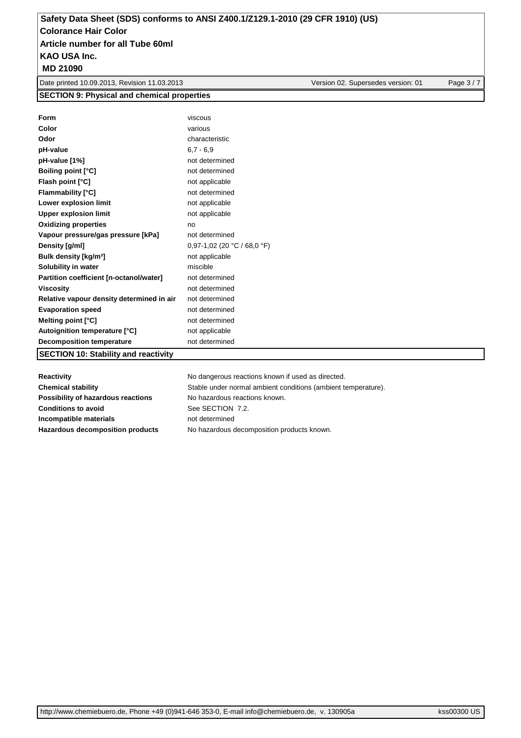**MD 21090**

Date printed 10.09.2013, Revision 11.03.2013 Version 02. Supersedes version: 01 Page 3/7

**SECTION 9: Physical and chemical properties**

| Form                                        | viscous                     |
|---------------------------------------------|-----------------------------|
| Color                                       | various                     |
| Odor                                        | characteristic              |
| pH-value                                    | $6,7 - 6,9$                 |
| pH-value [1%]                               | not determined              |
| <b>Boiling point [°C]</b>                   | not determined              |
| Flash point [°C]                            | not applicable              |
| <b>Flammability [°C]</b>                    | not determined              |
| Lower explosion limit                       | not applicable              |
| <b>Upper explosion limit</b>                | not applicable              |
| <b>Oxidizing properties</b>                 | no                          |
| Vapour pressure/gas pressure [kPa]          | not determined              |
| Density [g/ml]                              | 0,97-1,02 (20 °C / 68,0 °F) |
| Bulk density [kg/m <sup>3</sup> ]           | not applicable              |
| Solubility in water                         | miscible                    |
| Partition coefficient [n-octanol/water]     | not determined              |
| <b>Viscosity</b>                            | not determined              |
| Relative vapour density determined in air   | not determined              |
| <b>Evaporation speed</b>                    | not determined              |
| Melting point [°C]                          | not determined              |
| Autoignition temperature [°C]               | not applicable              |
| <b>Decomposition temperature</b>            | not determined              |
| <b>SECTION 10: Stability and reactivity</b> |                             |

| Reactivity                         | No dangerous reactions known if used as directed.             |
|------------------------------------|---------------------------------------------------------------|
| <b>Chemical stability</b>          | Stable under normal ambient conditions (ambient temperature). |
| Possibility of hazardous reactions | No hazardous reactions known.                                 |
| <b>Conditions to avoid</b>         | See SECTION 7.2.                                              |
| Incompatible materials             | not determined                                                |
| Hazardous decomposition products   | No hazardous decomposition products known.                    |
|                                    |                                                               |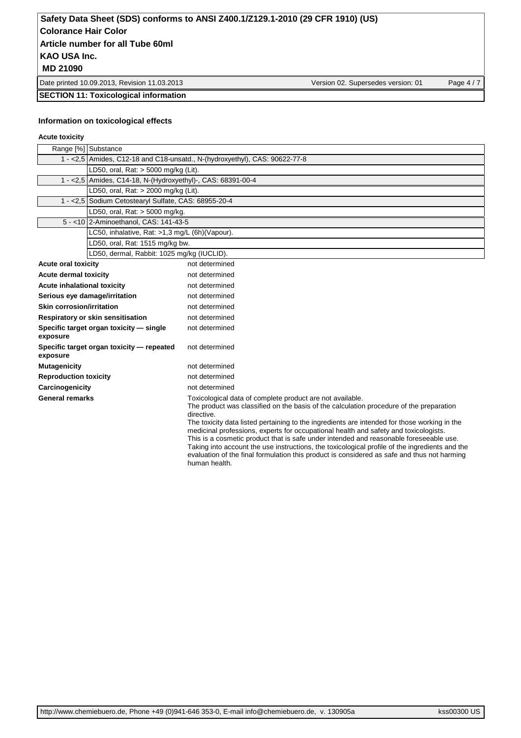Date printed 10.09.2013, Revision 11.03.2013 Version 02. Supersedes version: 01 Page 4/7

**SECTION 11: Toxicological information**

#### **Information on toxicological effects**

#### **Acute toxicity**

|                                  | Range [%] Substance                                                         |                                                                                                                                                                                                                                                                                                                                                                                                                                                                                                                                                                                                                                                                        |
|----------------------------------|-----------------------------------------------------------------------------|------------------------------------------------------------------------------------------------------------------------------------------------------------------------------------------------------------------------------------------------------------------------------------------------------------------------------------------------------------------------------------------------------------------------------------------------------------------------------------------------------------------------------------------------------------------------------------------------------------------------------------------------------------------------|
|                                  | 1 - < 2,5 Amides, C12-18 and C18-unsatd., N-(hydroxyethyl), CAS: 90622-77-8 |                                                                                                                                                                                                                                                                                                                                                                                                                                                                                                                                                                                                                                                                        |
|                                  | LD50, oral, Rat: > 5000 mg/kg (Lit).                                        |                                                                                                                                                                                                                                                                                                                                                                                                                                                                                                                                                                                                                                                                        |
|                                  | 1 - < 2,5 Amides, C14-18, N-(Hydroxyethyl)-, CAS: 68391-00-4                |                                                                                                                                                                                                                                                                                                                                                                                                                                                                                                                                                                                                                                                                        |
|                                  | LD50, oral, Rat: > 2000 mg/kg (Lit).                                        |                                                                                                                                                                                                                                                                                                                                                                                                                                                                                                                                                                                                                                                                        |
|                                  | 1 - < 2,5 Sodium Cetostearyl Sulfate, CAS: 68955-20-4                       |                                                                                                                                                                                                                                                                                                                                                                                                                                                                                                                                                                                                                                                                        |
|                                  | LD50, oral, Rat: > 5000 mg/kg.                                              |                                                                                                                                                                                                                                                                                                                                                                                                                                                                                                                                                                                                                                                                        |
|                                  | 5 - < 10 2-Aminoethanol, CAS: 141-43-5                                      |                                                                                                                                                                                                                                                                                                                                                                                                                                                                                                                                                                                                                                                                        |
|                                  | LC50, inhalative, Rat: >1,3 mg/L (6h)(Vapour).                              |                                                                                                                                                                                                                                                                                                                                                                                                                                                                                                                                                                                                                                                                        |
|                                  | LD50, oral, Rat: 1515 mg/kg bw.                                             |                                                                                                                                                                                                                                                                                                                                                                                                                                                                                                                                                                                                                                                                        |
|                                  | LD50, dermal, Rabbit: 1025 mg/kg (IUCLID).                                  |                                                                                                                                                                                                                                                                                                                                                                                                                                                                                                                                                                                                                                                                        |
| <b>Acute oral toxicity</b>       |                                                                             | not determined                                                                                                                                                                                                                                                                                                                                                                                                                                                                                                                                                                                                                                                         |
| <b>Acute dermal toxicity</b>     |                                                                             | not determined                                                                                                                                                                                                                                                                                                                                                                                                                                                                                                                                                                                                                                                         |
| Acute inhalational toxicity      |                                                                             | not determined                                                                                                                                                                                                                                                                                                                                                                                                                                                                                                                                                                                                                                                         |
| Serious eye damage/irritation    |                                                                             | not determined                                                                                                                                                                                                                                                                                                                                                                                                                                                                                                                                                                                                                                                         |
| <b>Skin corrosion/irritation</b> |                                                                             | not determined                                                                                                                                                                                                                                                                                                                                                                                                                                                                                                                                                                                                                                                         |
|                                  | Respiratory or skin sensitisation                                           | not determined                                                                                                                                                                                                                                                                                                                                                                                                                                                                                                                                                                                                                                                         |
| exposure                         | Specific target organ toxicity - single                                     | not determined                                                                                                                                                                                                                                                                                                                                                                                                                                                                                                                                                                                                                                                         |
| exposure                         | Specific target organ toxicity - repeated                                   | not determined                                                                                                                                                                                                                                                                                                                                                                                                                                                                                                                                                                                                                                                         |
| <b>Mutagenicity</b>              |                                                                             | not determined                                                                                                                                                                                                                                                                                                                                                                                                                                                                                                                                                                                                                                                         |
| <b>Reproduction toxicity</b>     |                                                                             | not determined                                                                                                                                                                                                                                                                                                                                                                                                                                                                                                                                                                                                                                                         |
| Carcinogenicity                  |                                                                             | not determined                                                                                                                                                                                                                                                                                                                                                                                                                                                                                                                                                                                                                                                         |
| <b>General remarks</b>           |                                                                             | Toxicological data of complete product are not available.<br>The product was classified on the basis of the calculation procedure of the preparation<br>directive.<br>The toxicity data listed pertaining to the ingredients are intended for those working in the<br>medicinal professions, experts for occupational health and safety and toxicologists.<br>This is a cosmetic product that is safe under intended and reasonable foreseeable use.<br>Taking into account the use instructions, the toxicological profile of the ingredients and the<br>evaluation of the final formulation this product is considered as safe and thus not harming<br>human health. |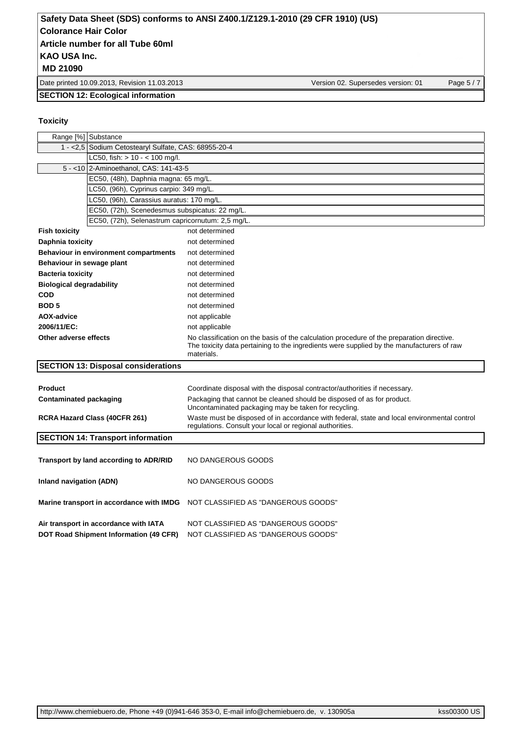Date printed 10.09.2013, Revision 11.03.2013 Version 02. Supersedes version: 01 Page 5 / 7

### **SECTION 12: Ecological information**

#### **Toxicity**

| Range [%] Substance                                                             |                                                                                                                                                                                                      |  |  |
|---------------------------------------------------------------------------------|------------------------------------------------------------------------------------------------------------------------------------------------------------------------------------------------------|--|--|
|                                                                                 | 1 - < 2,5   Sodium Cetostearyl Sulfate, CAS: 68955-20-4                                                                                                                                              |  |  |
| LC50, fish: $> 10 - < 100$ mg/l.                                                |                                                                                                                                                                                                      |  |  |
| 5 - < 10 2-Aminoethanol, CAS: 141-43-5                                          |                                                                                                                                                                                                      |  |  |
| EC50, (48h), Daphnia magna: 65 mg/L.                                            |                                                                                                                                                                                                      |  |  |
| LC50, (96h), Cyprinus carpio: 349 mg/L.                                         |                                                                                                                                                                                                      |  |  |
| LC50, (96h), Carassius auratus: 170 mg/L.                                       |                                                                                                                                                                                                      |  |  |
| EC50, (72h), Scenedesmus subspicatus: 22 mg/L.                                  |                                                                                                                                                                                                      |  |  |
| EC50, (72h), Selenastrum capricornutum: 2,5 mg/L.                               |                                                                                                                                                                                                      |  |  |
| <b>Fish toxicity</b>                                                            | not determined                                                                                                                                                                                       |  |  |
| Daphnia toxicity                                                                | not determined                                                                                                                                                                                       |  |  |
| Behaviour in environment compartments                                           | not determined                                                                                                                                                                                       |  |  |
| Behaviour in sewage plant                                                       | not determined                                                                                                                                                                                       |  |  |
| <b>Bacteria toxicity</b>                                                        | not determined                                                                                                                                                                                       |  |  |
| <b>Biological degradability</b>                                                 | not determined                                                                                                                                                                                       |  |  |
| <b>COD</b>                                                                      | not determined                                                                                                                                                                                       |  |  |
| <b>BOD5</b>                                                                     | not determined                                                                                                                                                                                       |  |  |
| <b>AOX-advice</b>                                                               | not applicable                                                                                                                                                                                       |  |  |
| 2006/11/EC:                                                                     | not applicable                                                                                                                                                                                       |  |  |
| Other adverse effects                                                           | No classification on the basis of the calculation procedure of the preparation directive.<br>The toxicity data pertaining to the ingredients were supplied by the manufacturers of raw<br>materials. |  |  |
| <b>SECTION 13: Disposal considerations</b>                                      |                                                                                                                                                                                                      |  |  |
| <b>Product</b>                                                                  | Coordinate disposal with the disposal contractor/authorities if necessary.                                                                                                                           |  |  |
| Contaminated packaging                                                          | Packaging that cannot be cleaned should be disposed of as for product.                                                                                                                               |  |  |
|                                                                                 | Uncontaminated packaging may be taken for recycling.                                                                                                                                                 |  |  |
| <b>RCRA Hazard Class (40CFR 261)</b>                                            | Waste must be disposed of in accordance with federal, state and local environmental control<br>regulations. Consult your local or regional authorities.                                              |  |  |
| <b>SECTION 14: Transport information</b>                                        |                                                                                                                                                                                                      |  |  |
|                                                                                 |                                                                                                                                                                                                      |  |  |
| Transport by land according to ADR/RID                                          | NO DANGEROUS GOODS                                                                                                                                                                                   |  |  |
|                                                                                 |                                                                                                                                                                                                      |  |  |
| Inland navigation (ADN)                                                         | NO DANGEROUS GOODS                                                                                                                                                                                   |  |  |
|                                                                                 | Marine transport in accordance with IMDG NOT CLASSIFIED AS "DANGEROUS GOODS"                                                                                                                         |  |  |
| Air transport in accordance with IATA<br>DOT Road Shipment Information (49 CFR) | NOT CLASSIFIED AS "DANGEROUS GOODS"<br>NOT CLASSIFIED AS "DANGEROUS GOODS"                                                                                                                           |  |  |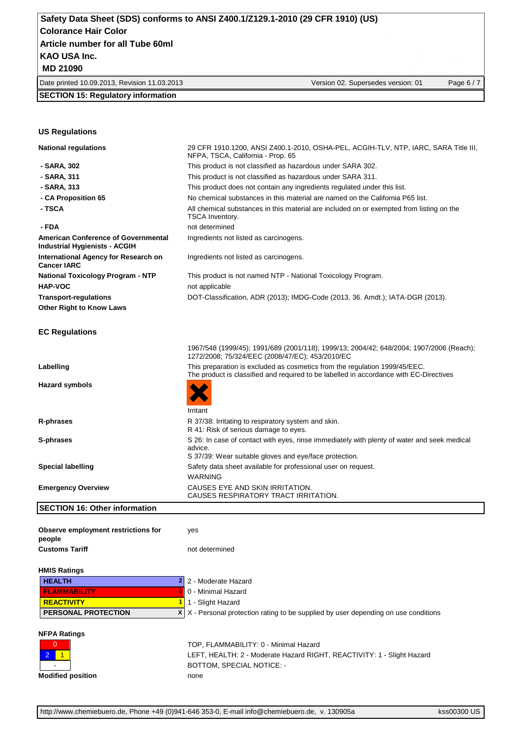Date printed 10.09.2013, Revision 11.03.2013 Version 02. Supersedes version: 01 Page 6 / 7

#### **SECTION 15: Regulatory information**

#### **US Regulations**

| <b>National regulations</b>                                                        | 29 CFR 1910.1200, ANSI Z400.1-2010, OSHA-PEL, ACGIH-TLV, NTP, IARC, SARA Title III,<br>NFPA, TSCA, California - Prop. 65                                             |
|------------------------------------------------------------------------------------|----------------------------------------------------------------------------------------------------------------------------------------------------------------------|
| - SARA, 302                                                                        | This product is not classified as hazardous under SARA 302.                                                                                                          |
| - SARA, 311                                                                        | This product is not classified as hazardous under SARA 311.                                                                                                          |
| - SARA, 313                                                                        | This product does not contain any ingredients regulated under this list.                                                                                             |
| - CA Proposition 65                                                                | No chemical substances in this material are named on the California P65 list.                                                                                        |
| - TSCA                                                                             | All chemical substances in this material are included on or exempted from listing on the<br><b>TSCA Inventory.</b>                                                   |
| - FDA                                                                              | not determined                                                                                                                                                       |
| <b>American Conference of Governmental</b><br><b>Industrial Hygienists - ACGIH</b> | Ingredients not listed as carcinogens.                                                                                                                               |
| International Agency for Research on<br><b>Cancer IARC</b>                         | Ingredients not listed as carcinogens.                                                                                                                               |
| <b>National Toxicology Program - NTP</b>                                           | This product is not named NTP - National Toxicology Program.                                                                                                         |
| <b>HAP-VOC</b>                                                                     | not applicable                                                                                                                                                       |
| <b>Transport-regulations</b>                                                       | DOT-Classification, ADR (2013); IMDG-Code (2013, 36. Amdt.); IATA-DGR (2013).                                                                                        |
| <b>Other Right to Know Laws</b>                                                    |                                                                                                                                                                      |
| <b>EC Regulations</b>                                                              |                                                                                                                                                                      |
|                                                                                    | 1967/548 (1999/45); 1991/689 (2001/118); 1999/13; 2004/42; 648/2004; 1907/2006 (Reach);<br>1272/2008; 75/324/EEC (2008/47/EC); 453/2010/EC                           |
| Labelling                                                                          | This preparation is excluded as cosmetics from the regulation 1999/45/EEC.<br>The product is classified and required to be labelled in accordance with EC-Directives |
| <b>Hazard symbols</b>                                                              |                                                                                                                                                                      |
|                                                                                    | Irritant                                                                                                                                                             |
| R-phrases                                                                          | R 37/38: Irritating to respiratory system and skin.<br>R 41: Risk of serious damage to eyes.                                                                         |
| S-phrases                                                                          | S 26: In case of contact with eyes, rinse immediately with plenty of water and seek medical<br>advice.<br>S 37/39: Wear suitable gloves and eye/face protection.     |
| <b>Special labelling</b>                                                           | Safety data sheet available for professional user on request.                                                                                                        |
|                                                                                    | <b>WARNING</b>                                                                                                                                                       |
| <b>Emergency Overview</b>                                                          | CAUSES EYE AND SKIN IRRITATION.<br>CAUSES RESPIRATORY TRACT IRRITATION.                                                                                              |
| <b>SECTION 16: Other information</b>                                               |                                                                                                                                                                      |
| Observe employment restrictions for<br>people                                      | yes                                                                                                                                                                  |
| <b>Customs Tariff</b>                                                              | not determined                                                                                                                                                       |
| <b>HMIS Ratings</b>                                                                |                                                                                                                                                                      |
| <b>HEALTH</b><br>$\mathbf{2}$                                                      | 2 - Moderate Hazard                                                                                                                                                  |
| <b>FLAMMABILITY</b>                                                                | 0 - Minimal Hazard                                                                                                                                                   |
| <b>REACTIVITY</b>                                                                  | 1 - Slight Hazard                                                                                                                                                    |
| X<br>PERSONAL PROTECTION                                                           | X - Personal protection rating to be supplied by user depending on use conditions                                                                                    |
| <b>NFPA Ratings</b>                                                                |                                                                                                                                                                      |



0 **TOP, FLAMMABILITY: 0 - Minimal Hazard** 2 1 | CEFT, HEALTH: 2 - Moderate Hazard RIGHT, REACTIVITY: 1 - Slight Hazard **EXECUTE:** BOTTOM, SPECIAL NOTICE: **Modified position** none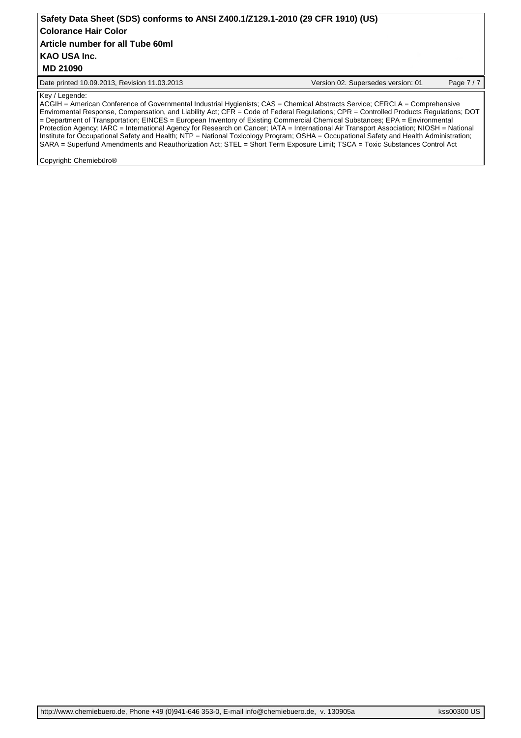## Date printed 10.09.2013, Revision 11.03.2013 Version 02. Supersedes version: 01 Page 7 / 7 **KAO USA Inc. Safety Data Sheet (SDS) conforms to ANSI Z400.1/Z129.1-2010 (29 CFR 1910) (US) Colorance Hair Color MD 21090 Article number for all Tube 60ml**

#### Key / Legende:

ACGIH = American Conference of Governmental Industrial Hygienists; CAS = Chemical Abstracts Service; CERCLA = Comprehensive Enviromental Response, Compensation, and Liability Act; CFR = Code of Federal Regulations; CPR = Controlled Products Regulations; DOT = Department of Transportation; EINCES = European Inventory of Existing Commercial Chemical Substances; EPA = Environmental Protection Agency; IARC = International Agency for Research on Cancer; IATA = International Air Transport Association; NIOSH = National Institute for Occupational Safety and Health; NTP = National Toxicology Program; OSHA = Occupational Safety and Health Administration; SARA = Superfund Amendments and Reauthorization Act; STEL = Short Term Exposure Limit; TSCA = Toxic Substances Control Act

Copyright: Chemiebüro®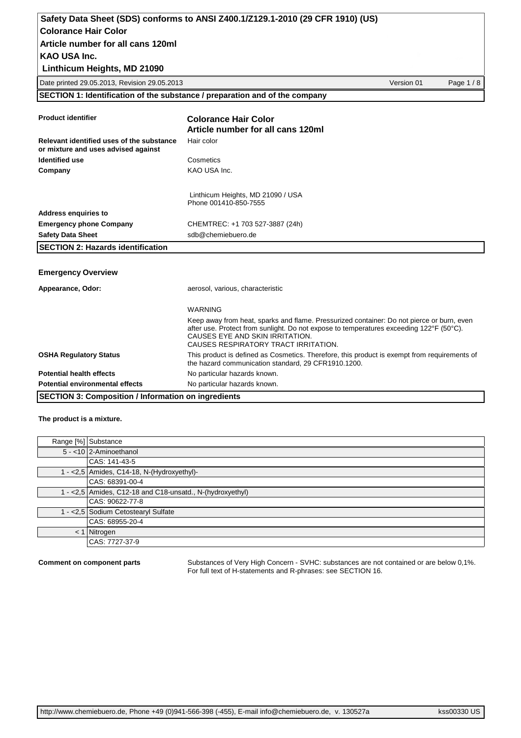**Linthicum Heights, MD 21090**

Date printed 29.05.2013, Revision 29.05.2013 Version 01 Page 1 / 8

**SECTION 1: Identification of the substance / preparation and of the company**

| <b>Product identifier</b>                                                        | <b>Colorance Hair Color</b><br>Article number for all cans 120ml                                                                                                                                                                                                |  |  |  |
|----------------------------------------------------------------------------------|-----------------------------------------------------------------------------------------------------------------------------------------------------------------------------------------------------------------------------------------------------------------|--|--|--|
| Relevant identified uses of the substance<br>or mixture and uses advised against | Hair color                                                                                                                                                                                                                                                      |  |  |  |
| <b>Identified use</b>                                                            | Cosmetics                                                                                                                                                                                                                                                       |  |  |  |
| Company                                                                          | KAO USA Inc.                                                                                                                                                                                                                                                    |  |  |  |
|                                                                                  | Linthicum Heights, MD 21090 / USA<br>Phone 001410-850-7555                                                                                                                                                                                                      |  |  |  |
| <b>Address enquiries to</b>                                                      |                                                                                                                                                                                                                                                                 |  |  |  |
| <b>Emergency phone Company</b>                                                   | CHEMTREC: +1 703 527-3887 (24h)                                                                                                                                                                                                                                 |  |  |  |
| <b>Safety Data Sheet</b>                                                         | sdb@chemiebuero.de                                                                                                                                                                                                                                              |  |  |  |
| <b>SECTION 2: Hazards identification</b>                                         |                                                                                                                                                                                                                                                                 |  |  |  |
|                                                                                  |                                                                                                                                                                                                                                                                 |  |  |  |
| <b>Emergency Overview</b>                                                        |                                                                                                                                                                                                                                                                 |  |  |  |
| Appearance, Odor:                                                                | aerosol, various, characteristic                                                                                                                                                                                                                                |  |  |  |
|                                                                                  | <b>WARNING</b>                                                                                                                                                                                                                                                  |  |  |  |
|                                                                                  | Keep away from heat, sparks and flame. Pressurized container: Do not pierce or burn, even<br>after use. Protect from sunlight. Do not expose to temperatures exceeding 122°F (50°C).<br>CAUSES EYE AND SKIN IRRITATION.<br>CAUSES RESPIRATORY TRACT IRRITATION. |  |  |  |
| <b>OSHA Regulatory Status</b>                                                    | This product is defined as Cosmetics. Therefore, this product is exempt from requirements of<br>the hazard communication standard, 29 CFR1910.1200.                                                                                                             |  |  |  |
| <b>Potential health effects</b>                                                  | No particular hazards known.                                                                                                                                                                                                                                    |  |  |  |
| <b>Potential environmental effects</b>                                           | No particular hazards known.                                                                                                                                                                                                                                    |  |  |  |
| <b>SECTION 3: Composition / Information on ingredients</b>                       |                                                                                                                                                                                                                                                                 |  |  |  |

#### **The product is a mixture.**

| Range [%] Substance                                        |
|------------------------------------------------------------|
| $5 - 10$ 2-Aminoethanol                                    |
| CAS: 141-43-5                                              |
| 1 - < 2,5   Amides, C14-18, N-(Hydroxyethyl)-              |
| CAS: 68391-00-4                                            |
| 1 - < 2,5 Amides, C12-18 and C18-unsatd., N-(hydroxyethyl) |
| CAS: 90622-77-8                                            |
| 1 - < 2,5 Sodium Cetostearyl Sulfate                       |
| CAS: 68955-20-4                                            |
| $< 1$ Nitrogen                                             |
| CAS: 7727-37-9                                             |

**Comment on component parts** Substances of Very High Concern - SVHC: substances are not contained or are below 0,1%. For full text of H-statements and R-phrases: see SECTION 16.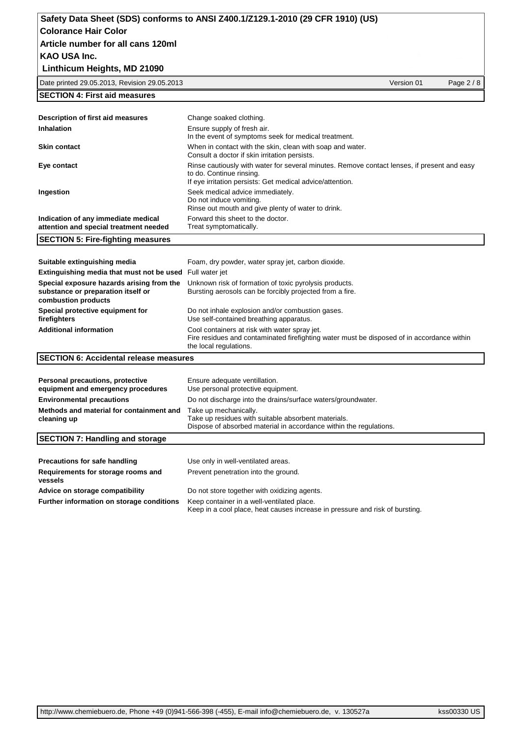## **Linthicum Heights, MD 21090**

Date printed 29.05.2013, Revision 29.05.2013 Version 01 Page 2 / 8

### **SECTION 4: First aid measures**

| <b>SECTION 5: Fire-fighting measures</b>                                      |                                                                                                                                                                                      |
|-------------------------------------------------------------------------------|--------------------------------------------------------------------------------------------------------------------------------------------------------------------------------------|
| Indication of any immediate medical<br>attention and special treatment needed | Forward this sheet to the doctor.<br>Treat symptomatically.                                                                                                                          |
| Ingestion                                                                     | Seek medical advice immediately.<br>Do not induce vomiting.<br>Rinse out mouth and give plenty of water to drink.                                                                    |
| Eye contact                                                                   | Rinse cautiously with water for several minutes. Remove contact lenses, if present and easy<br>to do. Continue rinsing.<br>If eye irritation persists: Get medical advice/attention. |
| <b>Skin contact</b>                                                           | When in contact with the skin, clean with soap and water.<br>Consult a doctor if skin irritation persists.                                                                           |
| <b>Inhalation</b>                                                             | Ensure supply of fresh air.<br>In the event of symptoms seek for medical treatment.                                                                                                  |
| Description of first aid measures                                             | Change soaked clothing.                                                                                                                                                              |

| Suitable extinguishing media                                                                           | Foam, dry powder, water spray jet, carbon dioxide.                                                                                                                    |  |
|--------------------------------------------------------------------------------------------------------|-----------------------------------------------------------------------------------------------------------------------------------------------------------------------|--|
| <b>Extinguishing media that must not be used</b> Full water jet                                        |                                                                                                                                                                       |  |
| Special exposure hazards arising from the<br>substance or preparation itself or<br>combustion products | Unknown risk of formation of toxic pyrolysis products.<br>Bursting aerosols can be forcibly projected from a fire.                                                    |  |
| Special protective equipment for<br>firefighters                                                       | Do not inhale explosion and/or combustion gases.<br>Use self-contained breathing apparatus.                                                                           |  |
| <b>Additional information</b>                                                                          | Cool containers at risk with water spray jet.<br>Fire residues and contaminated firefighting water must be disposed of in accordance within<br>the local regulations. |  |
| <b>ISECTION 6: Accidental release measures</b>                                                         |                                                                                                                                                                       |  |

| Personal precautions, protective<br>equipment and emergency procedures | Ensure adequate ventillation.<br>Use personal protective equipment.                                                                                |
|------------------------------------------------------------------------|----------------------------------------------------------------------------------------------------------------------------------------------------|
| <b>Environmental precautions</b>                                       | Do not discharge into the drains/surface waters/groundwater.                                                                                       |
| Methods and material for containment and<br>cleaning up                | Take up mechanically.<br>Take up residues with suitable absorbent materials.<br>Dispose of absorbed material in accordance within the regulations. |

#### **SECTION 7: Handling and storage**

| Precautions for safe handling<br>Requirements for storage rooms and<br>vessels | Use only in well-ventilated areas.<br>Prevent penetration into the ground.                                                 |
|--------------------------------------------------------------------------------|----------------------------------------------------------------------------------------------------------------------------|
| Advice on storage compatibility                                                | Do not store together with oxidizing agents.                                                                               |
| Further information on storage conditions                                      | Keep container in a well-ventilated place.<br>Keep in a cool place, heat causes increase in pressure and risk of bursting. |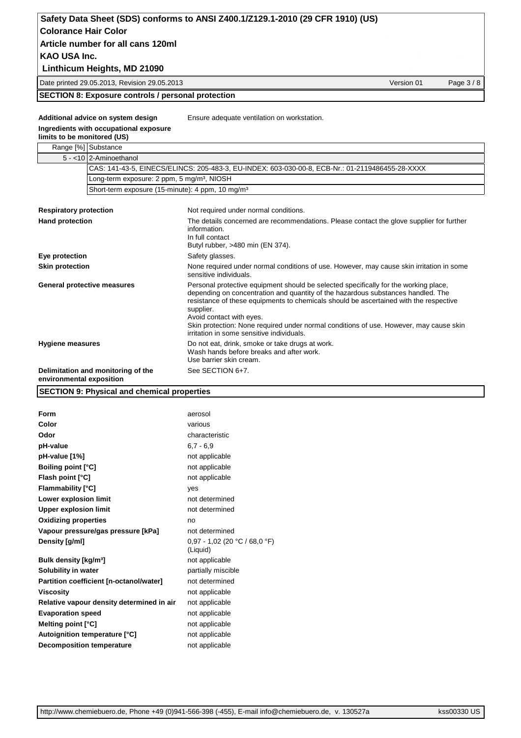## **Linthicum Heights, MD 21090**

Date printed 29.05.2013, Revision 29.05.2013 Version 01 Page 3 / 8

#### **SECTION 8: Exposure controls / personal protection**

**Additional advice on system design** Ensure adequate ventilation on workstation.

#### **Ingredients with occupational exposure**

**limits to be monitored (US)**

## Range [%] Substance

| 5 - <10 2-Aminoethanol                                         |                                                                                                                                                                                                                                                                                                                                                                                                                                                   |  |  |
|----------------------------------------------------------------|---------------------------------------------------------------------------------------------------------------------------------------------------------------------------------------------------------------------------------------------------------------------------------------------------------------------------------------------------------------------------------------------------------------------------------------------------|--|--|
|                                                                | CAS: 141-43-5, EINECS/ELINCS: 205-483-3, EU-INDEX: 603-030-00-8, ECB-Nr.: 01-2119486455-28-XXXX                                                                                                                                                                                                                                                                                                                                                   |  |  |
|                                                                | Long-term exposure: 2 ppm, 5 mg/m <sup>3</sup> , NIOSH                                                                                                                                                                                                                                                                                                                                                                                            |  |  |
|                                                                | Short-term exposure (15-minute): 4 ppm, 10 mg/m <sup>3</sup>                                                                                                                                                                                                                                                                                                                                                                                      |  |  |
|                                                                |                                                                                                                                                                                                                                                                                                                                                                                                                                                   |  |  |
| <b>Respiratory protection</b>                                  | Not required under normal conditions.                                                                                                                                                                                                                                                                                                                                                                                                             |  |  |
| <b>Hand protection</b>                                         | The details concerned are recommendations. Please contact the glove supplier for further<br>information.<br>In full contact<br>Butyl rubber, >480 min (EN 374).                                                                                                                                                                                                                                                                                   |  |  |
| Eye protection                                                 | Safety glasses.                                                                                                                                                                                                                                                                                                                                                                                                                                   |  |  |
| <b>Skin protection</b>                                         | None required under normal conditions of use. However, may cause skin irritation in some<br>sensitive individuals.                                                                                                                                                                                                                                                                                                                                |  |  |
| General protective measures                                    | Personal protective equipment should be selected specifically for the working place,<br>depending on concentration and quantity of the hazardous substances handled. The<br>resistance of these equipments to chemicals should be ascertained with the respective<br>supplier.<br>Avoid contact with eyes.<br>Skin protection: None required under normal conditions of use. However, may cause skin<br>irritation in some sensitive individuals. |  |  |
| <b>Hygiene measures</b>                                        | Do not eat, drink, smoke or take drugs at work.<br>Wash hands before breaks and after work.<br>Use barrier skin cream.                                                                                                                                                                                                                                                                                                                            |  |  |
| Delimitation and monitoring of the<br>environmental exposition | See SECTION 6+7.                                                                                                                                                                                                                                                                                                                                                                                                                                  |  |  |

#### **SECTION 9: Physical and chemical properties**

| Form                                      | aerosol                                     |  |
|-------------------------------------------|---------------------------------------------|--|
| Color                                     | various                                     |  |
| Odor                                      | characteristic                              |  |
| pH-value                                  | $6.7 - 6.9$                                 |  |
| pH-value [1%]                             | not applicable                              |  |
| <b>Boiling point [°C]</b>                 | not applicable                              |  |
| Flash point [°C]                          | not applicable                              |  |
| <b>Flammability</b> [°C]                  | ves                                         |  |
| Lower explosion limit                     | not determined                              |  |
| <b>Upper explosion limit</b>              | not determined                              |  |
| <b>Oxidizing properties</b>               | no                                          |  |
| Vapour pressure/gas pressure [kPa]        | not determined                              |  |
| Density [g/ml]                            | $0,97 - 1,02$ (20 °C / 68,0 °F)<br>(Liquid) |  |
| Bulk density [kg/m <sup>3</sup> ]         | not applicable                              |  |
| Solubility in water                       | partially miscible                          |  |
| Partition coefficient [n-octanol/water]   | not determined                              |  |
| <b>Viscosity</b>                          | not applicable                              |  |
| Relative vapour density determined in air | not applicable                              |  |
| <b>Evaporation speed</b>                  | not applicable                              |  |
| Melting point [°C]                        | not applicable                              |  |
| Autoignition temperature [°C]             | not applicable                              |  |
| <b>Decomposition temperature</b>          | not applicable                              |  |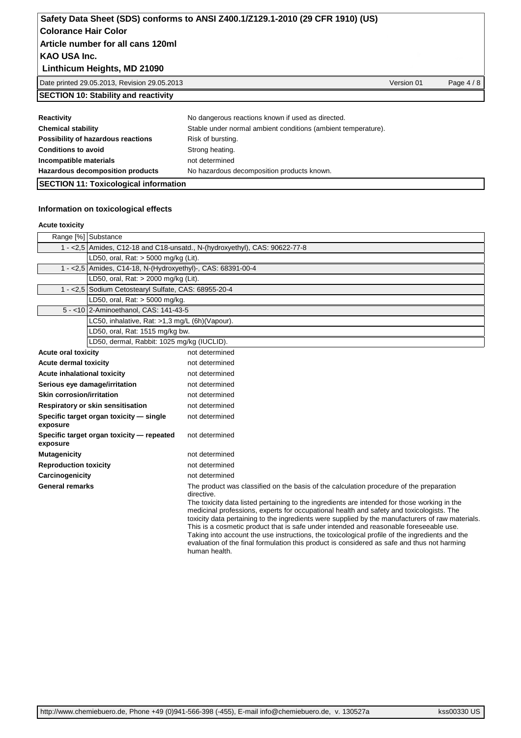#### **Linthicum Heights, MD 21090**

Date printed 29.05.2013, Revision 29.05.2013 Version 01 Page 4 / 8

## **SECTION 10: Stability and reactivity**

| Reactivity                         | No dangerous reactions known if used as directed.             |
|------------------------------------|---------------------------------------------------------------|
| <b>Chemical stability</b>          | Stable under normal ambient conditions (ambient temperature). |
| Possibility of hazardous reactions | Risk of bursting.                                             |
| <b>Conditions to avoid</b>         | Strong heating.                                               |
| Incompatible materials             | not determined                                                |
| Hazardous decomposition products   | No hazardous decomposition products known.                    |

## **SECTION 11: Toxicological information**

#### **Information on toxicological effects**

#### **Acute toxicity**

|                                  | Range [%] Substance                                                        |                                                                                                                                                                                                                                                                                                                                                                                                                                                                                                                                                                                                                                                                                                                   |  |
|----------------------------------|----------------------------------------------------------------------------|-------------------------------------------------------------------------------------------------------------------------------------------------------------------------------------------------------------------------------------------------------------------------------------------------------------------------------------------------------------------------------------------------------------------------------------------------------------------------------------------------------------------------------------------------------------------------------------------------------------------------------------------------------------------------------------------------------------------|--|
|                                  | 1 - <2,5 Amides, C12-18 and C18-unsatd., N-(hydroxyethyl), CAS: 90622-77-8 |                                                                                                                                                                                                                                                                                                                                                                                                                                                                                                                                                                                                                                                                                                                   |  |
|                                  | LD50, oral, Rat: > 5000 mg/kg (Lit).                                       |                                                                                                                                                                                                                                                                                                                                                                                                                                                                                                                                                                                                                                                                                                                   |  |
|                                  | 1 - < 2,5 Amides, C14-18, N-(Hydroxyethyl)-, CAS: 68391-00-4               |                                                                                                                                                                                                                                                                                                                                                                                                                                                                                                                                                                                                                                                                                                                   |  |
|                                  | LD50, oral, Rat: > 2000 mg/kg (Lit).                                       |                                                                                                                                                                                                                                                                                                                                                                                                                                                                                                                                                                                                                                                                                                                   |  |
|                                  | 1 - < 2,5 Sodium Cetostearyl Sulfate, CAS: 68955-20-4                      |                                                                                                                                                                                                                                                                                                                                                                                                                                                                                                                                                                                                                                                                                                                   |  |
|                                  | LD50, oral, Rat: > 5000 mg/kg.                                             |                                                                                                                                                                                                                                                                                                                                                                                                                                                                                                                                                                                                                                                                                                                   |  |
|                                  | 5 - < 10 2-Aminoethanol, CAS: 141-43-5                                     |                                                                                                                                                                                                                                                                                                                                                                                                                                                                                                                                                                                                                                                                                                                   |  |
|                                  | LC50, inhalative, Rat: >1,3 mg/L (6h)(Vapour).                             |                                                                                                                                                                                                                                                                                                                                                                                                                                                                                                                                                                                                                                                                                                                   |  |
|                                  | LD50, oral, Rat: 1515 mg/kg bw.                                            |                                                                                                                                                                                                                                                                                                                                                                                                                                                                                                                                                                                                                                                                                                                   |  |
|                                  | LD50, dermal, Rabbit: 1025 mg/kg (IUCLID).                                 |                                                                                                                                                                                                                                                                                                                                                                                                                                                                                                                                                                                                                                                                                                                   |  |
| <b>Acute oral toxicity</b>       |                                                                            | not determined                                                                                                                                                                                                                                                                                                                                                                                                                                                                                                                                                                                                                                                                                                    |  |
| <b>Acute dermal toxicity</b>     |                                                                            | not determined                                                                                                                                                                                                                                                                                                                                                                                                                                                                                                                                                                                                                                                                                                    |  |
| Acute inhalational toxicity      |                                                                            | not determined                                                                                                                                                                                                                                                                                                                                                                                                                                                                                                                                                                                                                                                                                                    |  |
|                                  | Serious eye damage/irritation                                              | not determined                                                                                                                                                                                                                                                                                                                                                                                                                                                                                                                                                                                                                                                                                                    |  |
| <b>Skin corrosion/irritation</b> |                                                                            | not determined                                                                                                                                                                                                                                                                                                                                                                                                                                                                                                                                                                                                                                                                                                    |  |
|                                  | Respiratory or skin sensitisation                                          | not determined                                                                                                                                                                                                                                                                                                                                                                                                                                                                                                                                                                                                                                                                                                    |  |
| exposure                         | Specific target organ toxicity - single                                    | not determined                                                                                                                                                                                                                                                                                                                                                                                                                                                                                                                                                                                                                                                                                                    |  |
| exposure                         | Specific target organ toxicity - repeated                                  | not determined                                                                                                                                                                                                                                                                                                                                                                                                                                                                                                                                                                                                                                                                                                    |  |
| <b>Mutagenicity</b>              |                                                                            | not determined                                                                                                                                                                                                                                                                                                                                                                                                                                                                                                                                                                                                                                                                                                    |  |
| <b>Reproduction toxicity</b>     |                                                                            | not determined                                                                                                                                                                                                                                                                                                                                                                                                                                                                                                                                                                                                                                                                                                    |  |
| Carcinogenicity                  |                                                                            | not determined                                                                                                                                                                                                                                                                                                                                                                                                                                                                                                                                                                                                                                                                                                    |  |
| <b>General remarks</b>           |                                                                            | The product was classified on the basis of the calculation procedure of the preparation<br>directive.<br>The toxicity data listed pertaining to the ingredients are intended for those working in the<br>medicinal professions, experts for occupational health and safety and toxicologists. The<br>toxicity data pertaining to the ingredients were supplied by the manufacturers of raw materials.<br>This is a cosmetic product that is safe under intended and reasonable foreseeable use.<br>Taking into account the use instructions, the toxicological profile of the ingredients and the<br>evaluation of the final formulation this product is considered as safe and thus not harming<br>human health. |  |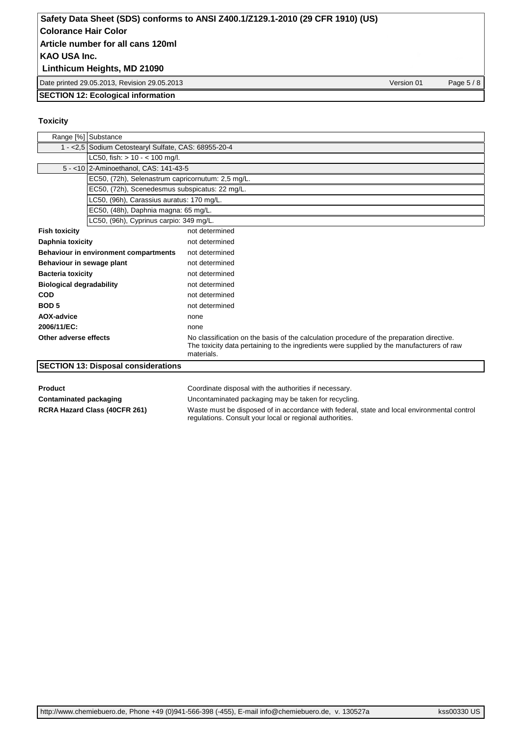## **Linthicum Heights, MD 21090**

Date printed 29.05.2013, Revision 29.05.2013 Version 01 Page 5 / 8

#### **SECTION 12: Ecological information**

#### **Toxicity**

|                                 | Range [%] Substance                                   |                                                                                                                                                                                                      |  |
|---------------------------------|-------------------------------------------------------|------------------------------------------------------------------------------------------------------------------------------------------------------------------------------------------------------|--|
|                                 | 1 - < 2,5 Sodium Cetostearyl Sulfate, CAS: 68955-20-4 |                                                                                                                                                                                                      |  |
|                                 | LC50, fish: $> 10 - < 100$ mg/l.                      |                                                                                                                                                                                                      |  |
|                                 | 5 - < 10 2-Aminoethanol, CAS: 141-43-5                |                                                                                                                                                                                                      |  |
|                                 | EC50, (72h), Selenastrum capricornutum: 2,5 mg/L.     |                                                                                                                                                                                                      |  |
|                                 | EC50, (72h), Scenedesmus subspicatus: 22 mg/L.        |                                                                                                                                                                                                      |  |
|                                 | LC50, (96h), Carassius auratus: 170 mg/L.             |                                                                                                                                                                                                      |  |
|                                 | EC50, (48h), Daphnia magna: 65 mg/L.                  |                                                                                                                                                                                                      |  |
|                                 | LC50, (96h), Cyprinus carpio: 349 mg/L.               |                                                                                                                                                                                                      |  |
| <b>Fish toxicity</b>            |                                                       | not determined                                                                                                                                                                                       |  |
| Daphnia toxicity                |                                                       | not determined                                                                                                                                                                                       |  |
|                                 | Behaviour in environment compartments                 | not determined                                                                                                                                                                                       |  |
| Behaviour in sewage plant       |                                                       | not determined                                                                                                                                                                                       |  |
| <b>Bacteria toxicity</b>        |                                                       | not determined                                                                                                                                                                                       |  |
| <b>Biological degradability</b> |                                                       | not determined                                                                                                                                                                                       |  |
| <b>COD</b>                      |                                                       | not determined                                                                                                                                                                                       |  |
| <b>BOD5</b>                     |                                                       | not determined                                                                                                                                                                                       |  |
| AOX-advice                      |                                                       | none                                                                                                                                                                                                 |  |
| 2006/11/EC:                     |                                                       | none                                                                                                                                                                                                 |  |
| Other adverse effects           |                                                       | No classification on the basis of the calculation procedure of the preparation directive.<br>The toxicity data pertaining to the ingredients were supplied by the manufacturers of raw<br>materials. |  |
|                                 | <b>SECTION 13: Disposal considerations</b>            |                                                                                                                                                                                                      |  |

**Product** Product **Product** Coordinate disposal with the authorities if necessary.

**Contaminated packaging** Uncontaminated packaging may be taken for recycling.

**RCRA Hazard Class (40CFR 261)** Waste must be disposed of in accordance with federal, state and local environmental control regulations. Consult your local or regional authorities.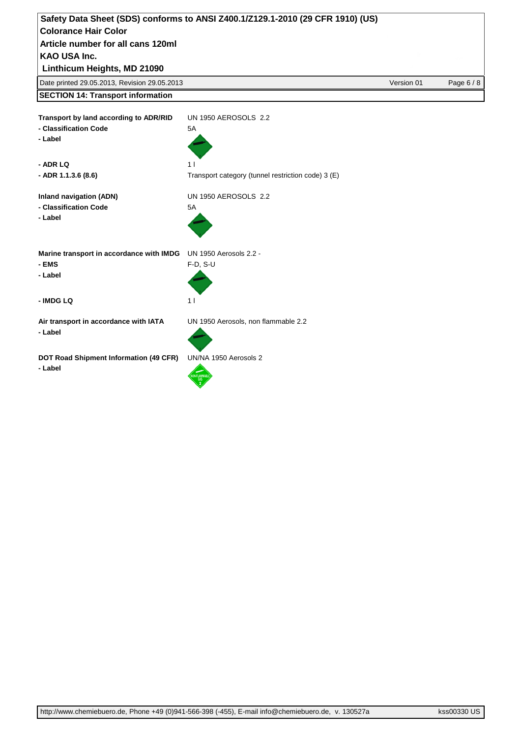| Safety Data Sheet (SDS) conforms to ANSI Z400.1/Z129.1-2010 (29 CFR 1910) (US) |                                                    |            |            |
|--------------------------------------------------------------------------------|----------------------------------------------------|------------|------------|
| <b>Colorance Hair Color</b>                                                    |                                                    |            |            |
| Article number for all cans 120ml                                              |                                                    |            |            |
| <b>KAO USA Inc.</b>                                                            |                                                    |            |            |
| Linthicum Heights, MD 21090                                                    |                                                    |            |            |
| Date printed 29.05.2013, Revision 29.05.2013                                   |                                                    | Version 01 | Page 6 / 8 |
| <b>SECTION 14: Transport information</b>                                       |                                                    |            |            |
| Transport by land according to ADR/RID<br>- Classification Code<br>- Label     | UN 1950 AEROSOLS 2.2<br>5A                         |            |            |
| - ADR LQ                                                                       | 1 <sub>1</sub>                                     |            |            |
| - ADR 1.1.3.6 (8.6)                                                            | Transport category (tunnel restriction code) 3 (E) |            |            |
| <b>Inland navigation (ADN)</b><br>- Classification Code<br>- Label             | <b>UN 1950 AEROSOLS 2.2</b><br>5A                  |            |            |
| Marine transport in accordance with IMDG<br>- EMS<br>- Label                   | UN 1950 Aerosols 2.2 -<br>$F-D, S-U$               |            |            |
| - IMDG LQ                                                                      | 11                                                 |            |            |
| Air transport in accordance with IATA<br>- Label                               | UN 1950 Aerosols, non flammable 2.2                |            |            |
| DOT Road Shipment Information (49 CFR)<br>- Label                              | UN/NA 1950 Aerosols 2<br>NON-FLAMMAB               |            |            |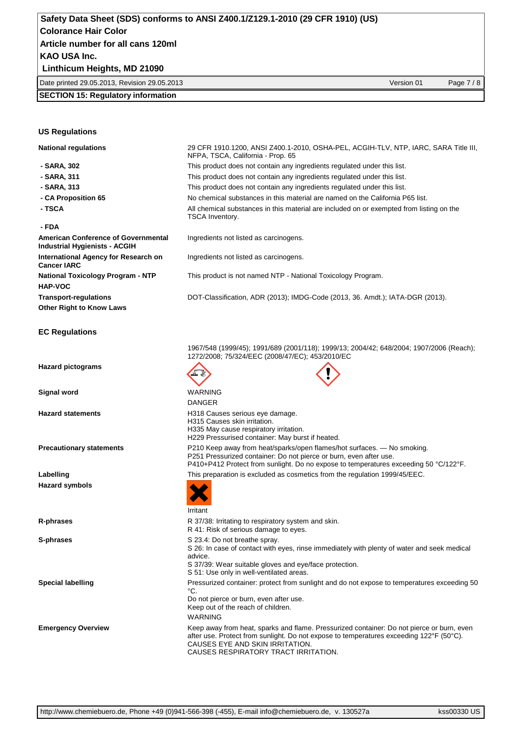#### **Linthicum Heights, MD 21090**

| Date printed 29.05.2013,<br>Revision 29.05.2013<br>01<br>Version<br>Page |
|--------------------------------------------------------------------------|
|--------------------------------------------------------------------------|

#### **SECTION 15: Regulatory information**

#### **US Regulations**

- 
- 
- 
- 
- 

#### **- FDA**

**American Conference of Governmental Industrial Hygienists - ACGIH International Agency for Research on Cancer IARC HAP-VOC Other Right to Know Laws**

#### **EC Regulations**

**National regulations** 29 CFR 1910.1200, ANSI Z400.1-2010, OSHA-PEL, ACGIH-TLV, NTP, IARC, SARA Title III, NFPA, TSCA, California - Prop. 65  **- SARA, 302** This product does not contain any ingredients regulated under this list.  **- SARA, 311** This product does not contain any ingredients regulated under this list.  **- SARA, 313** This product does not contain any ingredients regulated under this list.  **- CA Proposition 65** No chemical substances in this material are named on the California P65 list. **- TSCA All chemical substances in this material are included on or exempted from listing on the** TSCA Inventory. Ingredients not listed as carcinogens.

Ingredients not listed as carcinogens.

**National Toxicology Program - NTP** This product is not named NTP - National Toxicology Program.

**Transport-regulations** DOT-Classification, ADR (2013); IMDG-Code (2013, 36. Amdt.); IATA-DGR (2013).

1967/548 (1999/45); 1991/689 (2001/118); 1999/13; 2004/42; 648/2004; 1907/2006 (Reach); 1272/2008; 75/324/EEC (2008/47/EC); 453/2010/EC

| <b>Hazard pictograms</b>        |                                                                                                                                                                                                                                               |
|---------------------------------|-----------------------------------------------------------------------------------------------------------------------------------------------------------------------------------------------------------------------------------------------|
| Signal word                     | <b>WARNING</b>                                                                                                                                                                                                                                |
|                                 | <b>DANGER</b>                                                                                                                                                                                                                                 |
| <b>Hazard statements</b>        | H318 Causes serious eye damage.<br>H315 Causes skin irritation.<br>H335 May cause respiratory irritation.<br>H229 Pressurised container: May burst if heated.                                                                                 |
| <b>Precautionary statements</b> | P210 Keep away from heat/sparks/open flames/hot surfaces. - No smoking.<br>P251 Pressurized container: Do not pierce or burn, even after use.<br>P410+P412 Protect from sunlight. Do no expose to temperatures exceeding 50 °C/122°F.         |
| Labelling                       | This preparation is excluded as cosmetics from the regulation 1999/45/EEC.                                                                                                                                                                    |
| Hazard symbols                  |                                                                                                                                                                                                                                               |
|                                 | Irritant                                                                                                                                                                                                                                      |
| R-phrases                       | R 37/38: Irritating to respiratory system and skin.<br>R 41: Risk of serious damage to eyes.                                                                                                                                                  |
| S-phrases                       | S 23.4: Do not breathe spray.<br>S 26: In case of contact with eyes, rinse immediately with plenty of water and seek medical<br>advice.<br>S 37/39: Wear suitable gloves and eye/face protection.<br>S 51: Use only in well-ventilated areas. |
| Special labelling               | Pressurized container: protect from sunlight and do not expose to temperatures exceeding 50<br>°C.                                                                                                                                            |
|                                 | Do not pierce or burn, even after use.<br>Keep out of the reach of children.                                                                                                                                                                  |
|                                 | WARNING                                                                                                                                                                                                                                       |

**Emergency Overview** Keep away from heat, sparks and flame. Pressurized container: Do not pierce or burn, even after use. Protect from sunlight. Do not expose to temperatures exceeding 122°F (50°C). CAUSES EYE AND SKIN IRRITATION. CAUSES RESPIRATORY TRACT IRRITATION.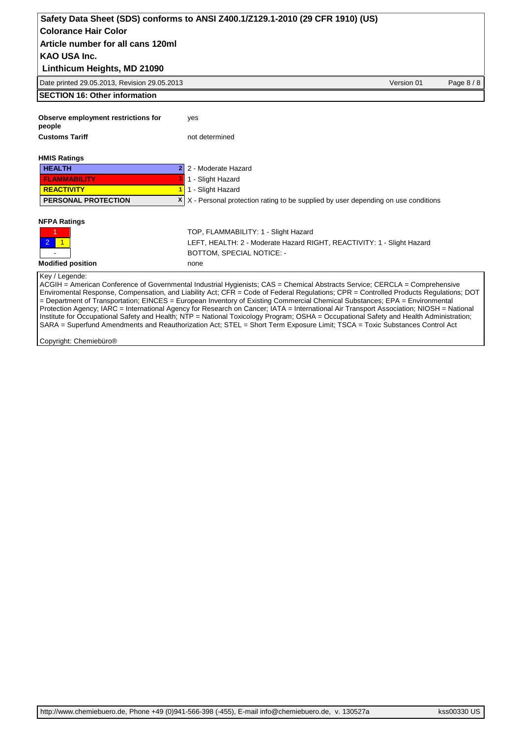## Date printed 29.05.2013, Revision 29.05.2013 Version 01 Page 8 / 8 **KAO USA Inc. Safety Data Sheet (SDS) conforms to ANSI Z400.1/Z129.1-2010 (29 CFR 1910) (US) Colorance Hair Color Linthicum Heights, MD 21090 Article number for all cans 120ml SECTION 16: Other information Observe employment restrictions for people** yes **Customs Tariff** not determined **HMIS Ratings HEALTH 2** 2 - Moderate Hazard **FLAMMABILITY 1** 1 - Slight Hazard **REACTIVITY 1** 1 - Slight Hazard **PERSONAL PROTECTION <b>X** X - Personal protection rating to be supplied by user depending on use conditions **NFPA Ratings** 1 TOP, FLAMMABILITY: 1 - Slight Hazard 2 1 **1 2 1 LEFT, HEALTH: 2 - Moderate Hazard RIGHT, REACTIVITY: 1 - Slight Hazard** BOTTOM, SPECIAL NOTICE: -**Modified position** none Key / Legende:

ACGIH = American Conference of Governmental Industrial Hygienists; CAS = Chemical Abstracts Service; CERCLA = Comprehensive Enviromental Response, Compensation, and Liability Act; CFR = Code of Federal Regulations; CPR = Controlled Products Regulations; DOT = Department of Transportation; EINCES = European Inventory of Existing Commercial Chemical Substances; EPA = Environmental Protection Agency; IARC = International Agency for Research on Cancer; IATA = International Air Transport Association; NIOSH = National Institute for Occupational Safety and Health; NTP = National Toxicology Program; OSHA = Occupational Safety and Health Administration; SARA = Superfund Amendments and Reauthorization Act; STEL = Short Term Exposure Limit; TSCA = Toxic Substances Control Act

Copyright: Chemiebüro®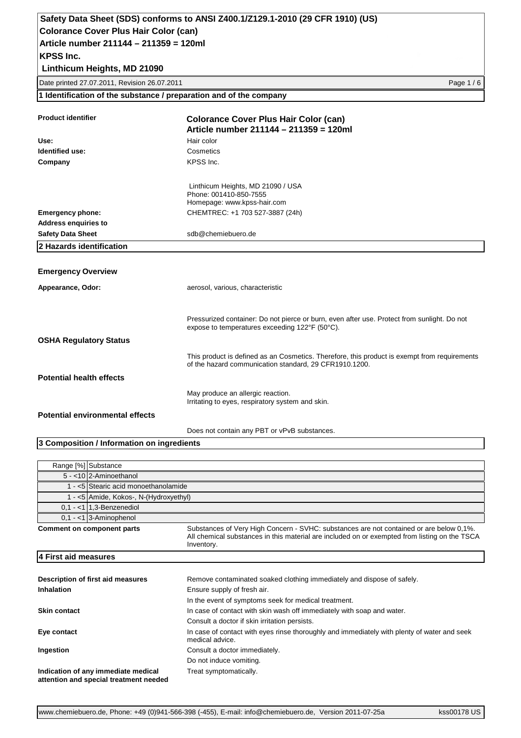**Linthicum Heights, MD 21090**

Date printed 27.07.2011, Revision 26.07.2011 Page 1 / 6

**1 Identification of the substance / preparation and of the company**

| <b>Product identifier</b>              | <b>Colorance Cover Plus Hair Color (can)</b><br>Article number 211144 - 211359 = 120ml                                                                 |
|----------------------------------------|--------------------------------------------------------------------------------------------------------------------------------------------------------|
| Use:                                   | Hair color                                                                                                                                             |
| Identified use:                        | Cosmetics                                                                                                                                              |
| Company                                | KPSS Inc.                                                                                                                                              |
|                                        | Linthicum Heights, MD 21090 / USA<br>Phone: 001410-850-7555<br>Homepage: www.kpss-hair.com                                                             |
| <b>Emergency phone:</b>                | CHEMTREC: +1 703 527-3887 (24h)                                                                                                                        |
| <b>Address enquiries to</b>            |                                                                                                                                                        |
| <b>Safety Data Sheet</b>               | sdb@chemiebuero.de                                                                                                                                     |
| 2 Hazards identification               |                                                                                                                                                        |
|                                        |                                                                                                                                                        |
| <b>Emergency Overview</b>              |                                                                                                                                                        |
| Appearance, Odor:                      | aerosol, various, characteristic                                                                                                                       |
|                                        | Pressurized container: Do not pierce or burn, even after use. Protect from sunlight. Do not<br>expose to temperatures exceeding 122°F (50°C).          |
| <b>OSHA Regulatory Status</b>          |                                                                                                                                                        |
|                                        | This product is defined as an Cosmetics. Therefore, this product is exempt from requirements<br>of the hazard communication standard, 29 CFR1910.1200. |
| <b>Potential health effects</b>        |                                                                                                                                                        |
|                                        | May produce an allergic reaction.<br>Irritating to eyes, respiratory system and skin.                                                                  |
| <b>Potential environmental effects</b> |                                                                                                                                                        |
|                                        | Does not contain any PBT or vPvB substances.                                                                                                           |

#### **3 Composition / Information on ingredients**

| Range [%] Substance                                                           |                                                                                                                                                                                                        |  |
|-------------------------------------------------------------------------------|--------------------------------------------------------------------------------------------------------------------------------------------------------------------------------------------------------|--|
| 5 - <10 2-Aminoethanol                                                        |                                                                                                                                                                                                        |  |
|                                                                               | 1 - <5 Stearic acid monoethanolamide                                                                                                                                                                   |  |
| 1 - <5 Amide, Kokos-, N-(Hydroxyethyl)                                        |                                                                                                                                                                                                        |  |
| $0.1 - 1$ 1.3-Benzenediol                                                     |                                                                                                                                                                                                        |  |
| $0.1 - 1$ 3-Aminophenol                                                       |                                                                                                                                                                                                        |  |
| Comment on component parts                                                    | Substances of Very High Concern - SVHC: substances are not contained or are below 0,1%.<br>All chemical substances in this material are included on or exempted from listing on the TSCA<br>Inventory. |  |
| 4 First aid measures                                                          |                                                                                                                                                                                                        |  |
|                                                                               |                                                                                                                                                                                                        |  |
| Description of first aid measures                                             | Remove contaminated soaked clothing immediately and dispose of safely.                                                                                                                                 |  |
| Inhalation                                                                    | Ensure supply of fresh air.                                                                                                                                                                            |  |
|                                                                               | In the event of symptoms seek for medical treatment.                                                                                                                                                   |  |
| <b>Skin contact</b>                                                           | In case of contact with skin wash off immediately with soap and water.                                                                                                                                 |  |
|                                                                               | Consult a doctor if skin irritation persists.                                                                                                                                                          |  |
| Eye contact                                                                   | In case of contact with eyes rinse thoroughly and immediately with plenty of water and seek<br>medical advice.                                                                                         |  |
| Ingestion                                                                     | Consult a doctor immediately.                                                                                                                                                                          |  |
|                                                                               | Do not induce vomiting.                                                                                                                                                                                |  |
| Indication of any immediate medical<br>attention and special treatment needed | Treat symptomatically.                                                                                                                                                                                 |  |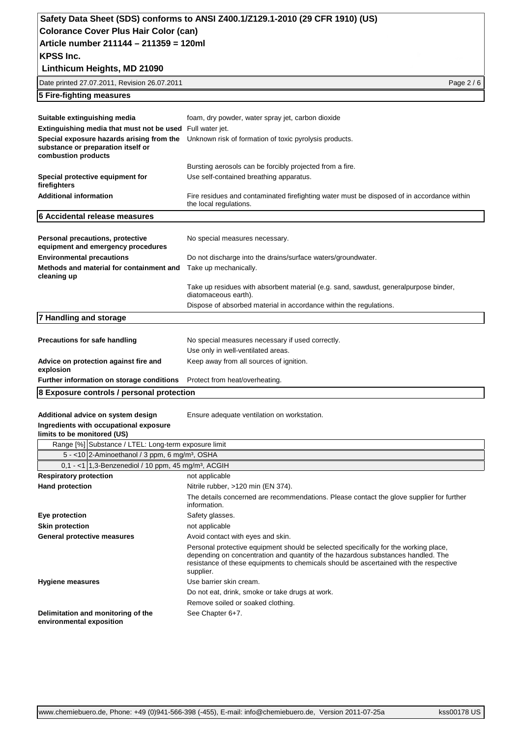| Colorance Cover Plus Hair Color (can)                                                                  |                                                                                                                      |
|--------------------------------------------------------------------------------------------------------|----------------------------------------------------------------------------------------------------------------------|
| Article number 211144 - 211359 = 120ml                                                                 |                                                                                                                      |
| <b>KPSS Inc.</b>                                                                                       |                                                                                                                      |
| Linthicum Heights, MD 21090                                                                            |                                                                                                                      |
| Date printed 27.07.2011, Revision 26.07.2011                                                           | Page 2 / 6                                                                                                           |
| 5 Fire-fighting measures                                                                               |                                                                                                                      |
|                                                                                                        |                                                                                                                      |
| Suitable extinguishing media                                                                           | foam, dry powder, water spray jet, carbon dioxide                                                                    |
| Extinguishing media that must not be used Full water jet.                                              |                                                                                                                      |
| Special exposure hazards arising from the<br>substance or preparation itself or<br>combustion products | Unknown risk of formation of toxic pyrolysis products.                                                               |
|                                                                                                        | Bursting aerosols can be forcibly projected from a fire.                                                             |
| Special protective equipment for<br>firefighters                                                       | Use self-contained breathing apparatus.                                                                              |
| <b>Additional information</b>                                                                          | Fire residues and contaminated firefighting water must be disposed of in accordance within<br>the local regulations. |
| 6 Accidental release measures                                                                          |                                                                                                                      |
|                                                                                                        |                                                                                                                      |
| Personal precautions, protective<br>equipment and emergency procedures                                 | No special measures necessary.                                                                                       |
| <b>Environmental precautions</b>                                                                       | Do not discharge into the drains/surface waters/groundwater.                                                         |
| Methods and material for containment and<br>cleaning up                                                | Take up mechanically.                                                                                                |
|                                                                                                        | Take up residues with absorbent material (e.g. sand, sawdust, generalpurpose binder,<br>diatomaceous earth).         |
|                                                                                                        | Dispose of absorbed material in accordance within the regulations.                                                   |
| 7 Handling and storage                                                                                 |                                                                                                                      |
|                                                                                                        |                                                                                                                      |
| Precautions for safe handling                                                                          | No special measures necessary if used correctly.                                                                     |
|                                                                                                        | Use only in well-ventilated areas.                                                                                   |
| Advice on protection against fire and<br>explosion                                                     | Keep away from all sources of ignition.                                                                              |
| Further information on storage conditions                                                              | Protect from heat/overheating.                                                                                       |
| 8 Exposure controls / personal protection                                                              |                                                                                                                      |
|                                                                                                        |                                                                                                                      |
| Additional advice on system design                                                                     | Ensure adequate ventilation on workstation.                                                                          |
| Ingredients with occupational exposure<br>limits to be monitored (US)                                  |                                                                                                                      |
| Range [%] Substance / LTEL: Long-term exposure limit                                                   |                                                                                                                      |
| 5 - < 10 2-Aminoethanol / 3 ppm, 6 mg/m <sup>3</sup> , OSHA                                            |                                                                                                                      |
| 0,1 - <1   1,3-Benzenediol / 10 ppm, 45 mg/m <sup>3</sup> , ACGIH                                      |                                                                                                                      |
| <b>Respiratory protection</b>                                                                          | not applicable                                                                                                       |
| <b>Hand protection</b>                                                                                 | Nitrile rubber, >120 min (EN 374).                                                                                   |
|                                                                                                        | The details concerned are recommendations. Please contact the glove supplier for further<br>information.             |
| Eve protoction                                                                                         | $Cof$ <sub>ativ</sub> algonace                                                                                       |

| Eye protection                                                 | Safety glasses.                                                                                                                                                                                                                                                                |
|----------------------------------------------------------------|--------------------------------------------------------------------------------------------------------------------------------------------------------------------------------------------------------------------------------------------------------------------------------|
| <b>Skin protection</b>                                         | not applicable                                                                                                                                                                                                                                                                 |
| <b>General protective measures</b>                             | Avoid contact with eyes and skin.                                                                                                                                                                                                                                              |
|                                                                | Personal protective equipment should be selected specifically for the working place,<br>depending on concentration and quantity of the hazardous substances handled. The<br>resistance of these equipments to chemicals should be ascertained with the respective<br>supplier. |
| <b>Hygiene measures</b>                                        | Use barrier skin cream.                                                                                                                                                                                                                                                        |
|                                                                | Do not eat, drink, smoke or take drugs at work.                                                                                                                                                                                                                                |
|                                                                | Remove soiled or soaked clothing.                                                                                                                                                                                                                                              |
| Delimitation and monitoring of the<br>environmental exposition | See Chapter 6+7.                                                                                                                                                                                                                                                               |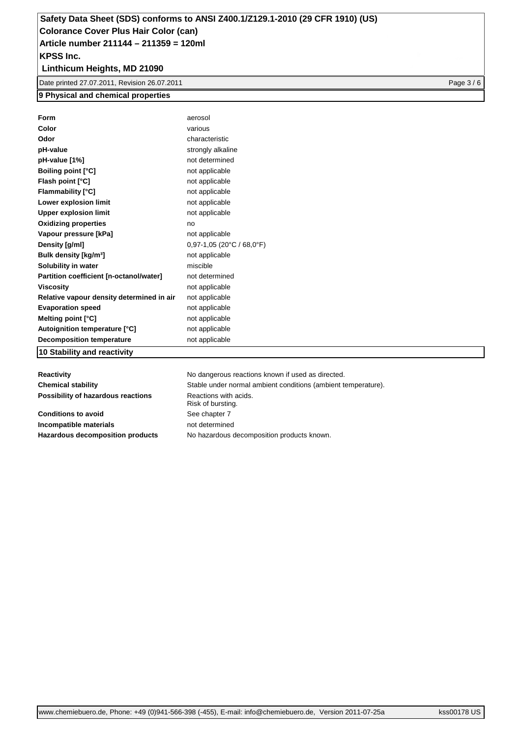## **Linthicum Heights, MD 21090**

Date printed 27.07.2011, Revision 26.07.2011 **Page 3 / 6** and 2010 **Page 3 / 6** and 2010 **Page 3 / 6** and 2010 **Page 3 / 6** and 2010 **Page 3 / 6** and 2010 **Page 3 / 6** and 2010 **Page 3 / 6** and 2011 **Page 3 / 6** and 2011

#### **9 Physical and chemical properties**

| Form                                      | aerosol                     |
|-------------------------------------------|-----------------------------|
| Color                                     | various                     |
| Odor                                      | characteristic              |
| pH-value                                  | strongly alkaline           |
| pH-value [1%]                             | not determined              |
| <b>Boiling point [°C]</b>                 | not applicable              |
| Flash point [°C]                          | not applicable              |
| <b>Flammability [°C]</b>                  | not applicable              |
| Lower explosion limit                     | not applicable              |
| <b>Upper explosion limit</b>              | not applicable              |
| <b>Oxidizing properties</b>               | no                          |
| Vapour pressure [kPa]                     | not applicable              |
| Density [g/ml]                            | $0,97-1,05$ (20°C / 68,0°F) |
| Bulk density [kg/m <sup>3</sup> ]         | not applicable              |
| Solubility in water                       | miscible                    |
| Partition coefficient [n-octanol/water]   | not determined              |
| <b>Viscositv</b>                          | not applicable              |
| Relative vapour density determined in air | not applicable              |
| <b>Evaporation speed</b>                  | not applicable              |
| Melting point [°C]                        | not applicable              |
| Autoignition temperature [°C]             | not applicable              |
| <b>Decomposition temperature</b>          | not applicable              |
| 10 Stability and reactivity               |                             |

**Reactivity Reactivity Reactions Reactions Reactions Reactions Reactions Reactions Reactions Reactions Reactions Reactions Reactions Reactions Reactions Reactions Reactions Reactions Rea Possibility of hazardous reactions** Reactions with acids.

**Conditions to avoid** See chapter 7 **Incompatible materials** not determined

**Chemical stability** Stable under normal ambient conditions (ambient temperature). Risk of bursting. Hazardous decomposition products No hazardous decomposition products known.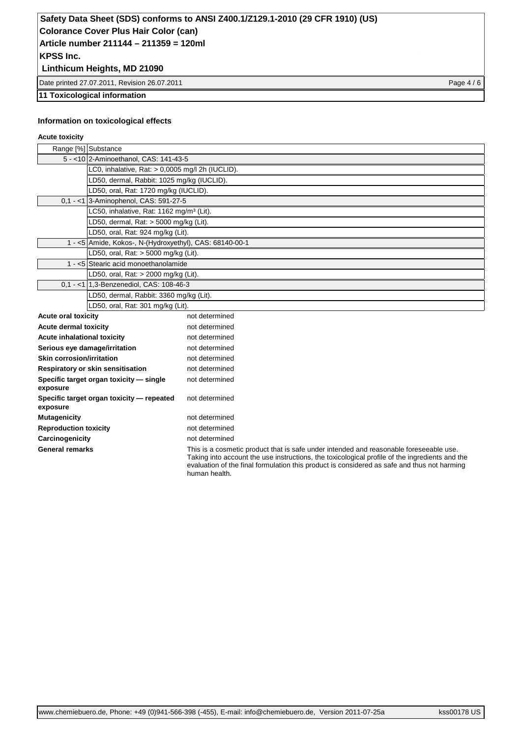### **Linthicum Heights, MD 21090**

Date printed 27.07.2011, Revision 26.07.2011 **Page 4 / 6** and 2012 12:00 Page 4 / 6

#### **11 Toxicological information**

#### **Information on toxicological effects**

#### **Acute toxicity**

|                                  | Range [%] Substance                                     |                                                                                                                                                                                          |
|----------------------------------|---------------------------------------------------------|------------------------------------------------------------------------------------------------------------------------------------------------------------------------------------------|
|                                  | 5 - < 10 2-Aminoethanol, CAS: 141-43-5                  |                                                                                                                                                                                          |
|                                  | LC0, inhalative, Rat: > 0,0005 mg/l 2h (IUCLID).        |                                                                                                                                                                                          |
|                                  | LD50, dermal, Rabbit: 1025 mg/kg (IUCLID).              |                                                                                                                                                                                          |
|                                  | LD50, oral, Rat: 1720 mg/kg (IUCLID).                   |                                                                                                                                                                                          |
|                                  | 0.1 - <1 3-Aminophenol, CAS: 591-27-5                   |                                                                                                                                                                                          |
|                                  | LC50, inhalative, Rat: 1162 mg/m <sup>3</sup> (Lit).    |                                                                                                                                                                                          |
|                                  | LD50, dermal, Rat: $>$ 5000 mg/kg (Lit).                |                                                                                                                                                                                          |
|                                  | LD50, oral, Rat: 924 mg/kg (Lit).                       |                                                                                                                                                                                          |
|                                  | 1 - <5 Amide, Kokos-, N-(Hydroxyethyl), CAS: 68140-00-1 |                                                                                                                                                                                          |
|                                  | LD50, oral, Rat: > 5000 mg/kg (Lit).                    |                                                                                                                                                                                          |
|                                  | 1 - <5 Stearic acid monoethanolamide                    |                                                                                                                                                                                          |
|                                  | LD50, oral, Rat: > 2000 mg/kg (Lit).                    |                                                                                                                                                                                          |
|                                  | 0.1 - <1 1.3-Benzenediol, CAS: 108-46-3                 |                                                                                                                                                                                          |
|                                  | LD50, dermal, Rabbit: 3360 mg/kg (Lit).                 |                                                                                                                                                                                          |
|                                  | LD50, oral, Rat: 301 mg/kg (Lit).                       |                                                                                                                                                                                          |
| <b>Acute oral toxicity</b>       |                                                         | not determined                                                                                                                                                                           |
| <b>Acute dermal toxicity</b>     |                                                         | not determined                                                                                                                                                                           |
| Acute inhalational toxicity      |                                                         | not determined                                                                                                                                                                           |
| Serious eye damage/irritation    |                                                         | not determined                                                                                                                                                                           |
| <b>Skin corrosion/irritation</b> |                                                         | not determined                                                                                                                                                                           |
|                                  | Respiratory or skin sensitisation                       | not determined                                                                                                                                                                           |
| exposure                         | Specific target organ toxicity - single                 | not determined                                                                                                                                                                           |
| exposure                         | Specific target organ toxicity - repeated               | not determined                                                                                                                                                                           |
| <b>Mutagenicity</b>              |                                                         | not determined                                                                                                                                                                           |
| <b>Reproduction toxicity</b>     |                                                         | not determined                                                                                                                                                                           |
| Carcinogenicity                  |                                                         | not determined                                                                                                                                                                           |
| <b>General remarks</b>           |                                                         | This is a cosmetic product that is safe under intended and reasonable foreseeable use.<br>Taking into account the use instructions, the toxicological profile of the ingredients and the |

Taking into account the use instructions, the toxicological profile of the ingredients and the evaluation of the final formulation this product is considered as safe and thus not harming human health.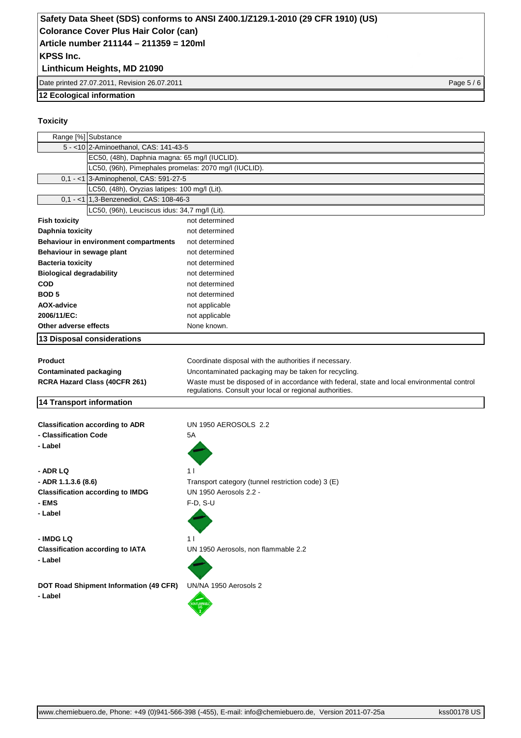### **Linthicum Heights, MD 21090**

Date printed 27.07.2011, Revision 26.07.2011 Page 5 / 6

#### **12 Ecological information**

#### **Toxicity**

|                                        | Range [%] Substance<br>5 - < 10 2-Aminoethanol, CAS: 141-43-5 |                                                                                                                                                         |
|----------------------------------------|---------------------------------------------------------------|---------------------------------------------------------------------------------------------------------------------------------------------------------|
|                                        | EC50, (48h), Daphnia magna: 65 mg/l (IUCLID).                 |                                                                                                                                                         |
|                                        | LC50, (96h), Pimephales promelas: 2070 mg/l (IUCLID).         |                                                                                                                                                         |
|                                        | 0,1 - <1 3-Aminophenol, CAS: 591-27-5                         |                                                                                                                                                         |
|                                        | LC50, (48h), Oryzias latipes: 100 mg/l (Lit).                 |                                                                                                                                                         |
|                                        | 0,1 - <1 1,3-Benzenediol, CAS: 108-46-3                       |                                                                                                                                                         |
|                                        | LC50, (96h), Leuciscus idus: 34,7 mg/l (Lit).                 |                                                                                                                                                         |
| <b>Fish toxicity</b>                   |                                                               | not determined                                                                                                                                          |
| Daphnia toxicity                       |                                                               | not determined                                                                                                                                          |
|                                        | <b>Behaviour in environment compartments</b>                  | not determined                                                                                                                                          |
| Behaviour in sewage plant              |                                                               | not determined                                                                                                                                          |
| <b>Bacteria toxicity</b>               |                                                               | not determined                                                                                                                                          |
| <b>Biological degradability</b>        |                                                               | not determined                                                                                                                                          |
| <b>COD</b>                             |                                                               | not determined                                                                                                                                          |
| <b>BOD5</b>                            |                                                               | not determined                                                                                                                                          |
| <b>AOX-advice</b>                      |                                                               | not applicable                                                                                                                                          |
| 2006/11/EC:                            |                                                               | not applicable                                                                                                                                          |
| Other adverse effects                  |                                                               | None known.                                                                                                                                             |
|                                        | 13 Disposal considerations                                    |                                                                                                                                                         |
|                                        |                                                               |                                                                                                                                                         |
| <b>Product</b>                         |                                                               | Coordinate disposal with the authorities if necessary.                                                                                                  |
| <b>Contaminated packaging</b>          |                                                               | Uncontaminated packaging may be taken for recycling.                                                                                                    |
|                                        | RCRA Hazard Class (40CFR 261)                                 | Waste must be disposed of in accordance with federal, state and local environmental control<br>regulations. Consult your local or regional authorities. |
| <b>14 Transport information</b>        |                                                               |                                                                                                                                                         |
|                                        | <b>Classification according to ADR</b>                        | UN 1950 AEROSOLS 2.2                                                                                                                                    |
| - Classification Code                  |                                                               | 5A                                                                                                                                                      |
| - Label                                |                                                               |                                                                                                                                                         |
|                                        |                                                               |                                                                                                                                                         |
| - ADR LQ                               |                                                               | 11                                                                                                                                                      |
| - ADR 1.1.3.6 (8.6)                    |                                                               | Transport category (tunnel restriction code) 3 (E)                                                                                                      |
|                                        | <b>Classification according to IMDG</b>                       | UN 1950 Aerosols 2.2 -                                                                                                                                  |
| - EMS                                  |                                                               | $F-D, S-U$                                                                                                                                              |
| - Label                                |                                                               |                                                                                                                                                         |
|                                        |                                                               |                                                                                                                                                         |
| - IMDG LQ                              |                                                               | 1 I                                                                                                                                                     |
|                                        | <b>Classification according to IATA</b>                       | UN 1950 Aerosols, non flammable 2.2                                                                                                                     |
| - Label                                |                                                               |                                                                                                                                                         |
|                                        |                                                               |                                                                                                                                                         |
|                                        |                                                               | UN/NA 1950 Aerosols 2                                                                                                                                   |
| DOT Road Shipment Information (49 CFR) |                                                               |                                                                                                                                                         |
| - Label                                |                                                               |                                                                                                                                                         |
|                                        |                                                               |                                                                                                                                                         |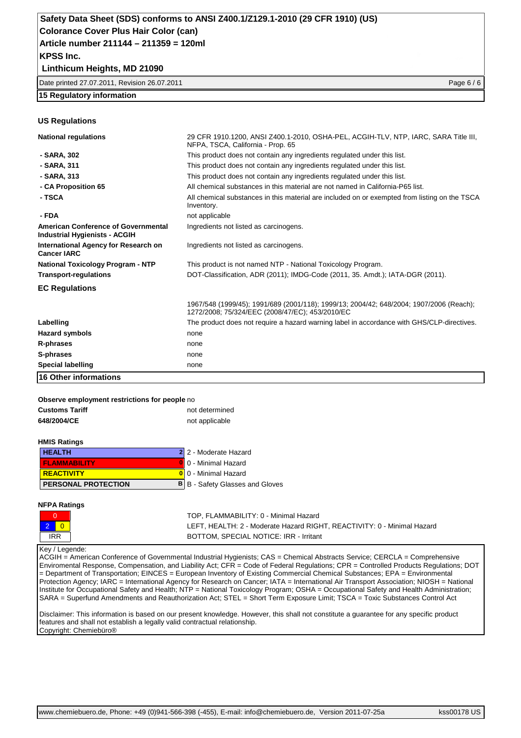#### **Linthicum Heights, MD 21090**

| Date printed 27.07.2011. Revision 26.07.2011 | Page $6/6$ |
|----------------------------------------------|------------|
|----------------------------------------------|------------|

#### **15 Regulatory information**

#### **US Regulations**

| <b>National regulations</b>                                                 | 29 CFR 1910.1200, ANSI Z400.1-2010, OSHA-PEL, ACGIH-TLV, NTP, IARC, SARA Title III,<br>NFPA, TSCA, California - Prop. 65                   |
|-----------------------------------------------------------------------------|--------------------------------------------------------------------------------------------------------------------------------------------|
| - SARA, 302                                                                 | This product does not contain any ingredients regulated under this list.                                                                   |
| - SARA, 311                                                                 | This product does not contain any ingredients regulated under this list.                                                                   |
| - SARA, 313                                                                 | This product does not contain any ingredients regulated under this list.                                                                   |
| - CA Proposition 65                                                         | All chemical substances in this material are not named in California-P65 list.                                                             |
| - TSCA                                                                      | All chemical substances in this material are included on or exempted from listing on the TSCA<br>Inventory.                                |
| - FDA                                                                       | not applicable                                                                                                                             |
| American Conference of Governmental<br><b>Industrial Hygienists - ACGIH</b> | Ingredients not listed as carcinogens.                                                                                                     |
| International Agency for Research on<br><b>Cancer IARC</b>                  | Ingredients not listed as carcinogens.                                                                                                     |
| <b>National Toxicology Program - NTP</b>                                    | This product is not named NTP - National Toxicology Program.                                                                               |
| <b>Transport-regulations</b>                                                | DOT-Classification, ADR (2011); IMDG-Code (2011, 35. Amdt.); IATA-DGR (2011).                                                              |
| <b>EC Regulations</b>                                                       |                                                                                                                                            |
|                                                                             | 1967/548 (1999/45); 1991/689 (2001/118); 1999/13; 2004/42; 648/2004; 1907/2006 (Reach);<br>1272/2008; 75/324/EEC (2008/47/EC); 453/2010/EC |
| Labelling                                                                   | The product does not require a hazard warning label in accordance with GHS/CLP-directives.                                                 |
| <b>Hazard symbols</b>                                                       | none                                                                                                                                       |
| R-phrases                                                                   | none                                                                                                                                       |
| S-phrases                                                                   | none                                                                                                                                       |
| <b>Special labelling</b>                                                    | none                                                                                                                                       |
| 16 Other informations                                                       |                                                                                                                                            |

# **Observe employment restrictions for people** no

| <b>Customs Tariff</b>           | not determined                        |
|---------------------------------|---------------------------------------|
| 648/2004/CE                     | not applicable                        |
|                                 |                                       |
| <b>HMIS Ratings</b>             |                                       |
| <b>HEALTH</b>                   | 2 2 - Moderate Hazard                 |
| <b>FLAMMABILITY</b>             | 0 - Minimal Hazard                    |
| <b>REACTIVITY</b><br>0          | 0 - Minimal Hazard                    |
| в<br><b>PERSONAL PROTECTION</b> | B - Safety Glasses and Gloves         |
|                                 |                                       |
| <b>NFPA Ratings</b>             |                                       |
| 0                               | TOP, FLAMMABILITY: 0 - Minimal Hazard |

2 0 LEFT, HEALTH: 2 - Moderate Hazard RIGHT, REACTIVITY: 0 - Minimal Hazard IRR BOTTOM, SPECIAL NOTICE: IRR - Irritant

#### Key / Legende:

ACGIH = American Conference of Governmental Industrial Hygienists; CAS = Chemical Abstracts Service; CERCLA = Comprehensive Enviromental Response, Compensation, and Liability Act; CFR = Code of Federal Regulations; CPR = Controlled Products Regulations; DOT = Department of Transportation; EINCES = European Inventory of Existing Commercial Chemical Substances; EPA = Environmental Protection Agency; IARC = International Agency for Research on Cancer; IATA = International Air Transport Association; NIOSH = National Institute for Occupational Safety and Health; NTP = National Toxicology Program; OSHA = Occupational Safety and Health Administration; SARA = Superfund Amendments and Reauthorization Act; STEL = Short Term Exposure Limit; TSCA = Toxic Substances Control Act

Disclaimer: This information is based on our present knowledge. However, this shall not constitute a guarantee for any specific product features and shall not establish a legally valid contractual relationship. Copyright: Chemiebüro®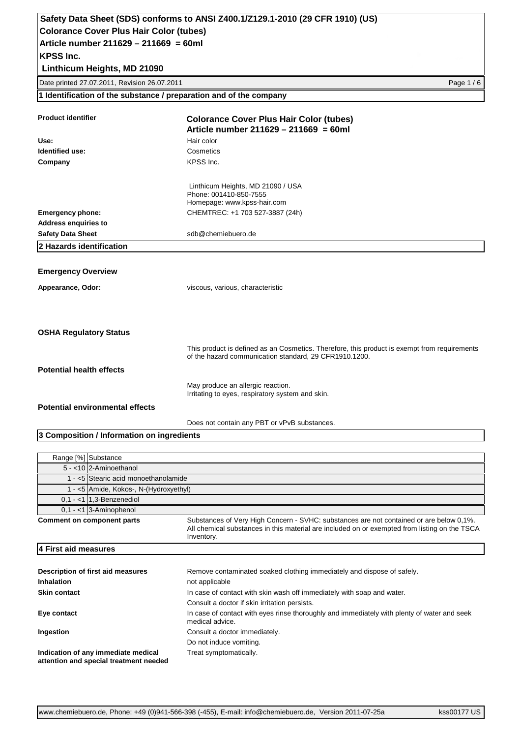**Linthicum Heights, MD 21090**

Date printed 27.07.2011, Revision 26.07.2011 Page 1 / 6

**1 Identification of the substance / preparation and of the company**

| <b>Product identifier</b>                  | <b>Colorance Cover Plus Hair Color (tubes)</b><br>Article number $211629 - 211669 = 60$ ml                                                             |
|--------------------------------------------|--------------------------------------------------------------------------------------------------------------------------------------------------------|
| Use:                                       | Hair color                                                                                                                                             |
| Identified use:                            | Cosmetics                                                                                                                                              |
| Company                                    | KPSS Inc.                                                                                                                                              |
|                                            | Linthicum Heights, MD 21090 / USA<br>Phone: 001410-850-7555<br>Homepage: www.kpss-hair.com                                                             |
| <b>Emergency phone:</b>                    | CHEMTREC: +1 703 527-3887 (24h)                                                                                                                        |
| <b>Address enquiries to</b>                |                                                                                                                                                        |
| <b>Safety Data Sheet</b>                   | sdb@chemiebuero.de                                                                                                                                     |
| 2 Hazards identification                   |                                                                                                                                                        |
|                                            |                                                                                                                                                        |
| <b>Emergency Overview</b>                  |                                                                                                                                                        |
| Appearance, Odor:                          | viscous, various, characteristic                                                                                                                       |
| <b>OSHA Regulatory Status</b>              |                                                                                                                                                        |
|                                            | This product is defined as an Cosmetics. Therefore, this product is exempt from requirements<br>of the hazard communication standard, 29 CFR1910.1200. |
| <b>Potential health effects</b>            |                                                                                                                                                        |
|                                            | May produce an allergic reaction.<br>Irritating to eyes, respiratory system and skin.                                                                  |
| <b>Potential environmental effects</b>     |                                                                                                                                                        |
|                                            | Does not contain any PBT or vPvB substances.                                                                                                           |
| 3 Composition / Information on ingredients |                                                                                                                                                        |

| Range [%] Substance                                                                                                                                                                                                                  |                                                                                                                |  |  |  |
|--------------------------------------------------------------------------------------------------------------------------------------------------------------------------------------------------------------------------------------|----------------------------------------------------------------------------------------------------------------|--|--|--|
| 5 - < 10 2-Aminoethanol                                                                                                                                                                                                              |                                                                                                                |  |  |  |
|                                                                                                                                                                                                                                      | 1 - <5 Stearic acid monoethanolamide                                                                           |  |  |  |
|                                                                                                                                                                                                                                      | 1 - <5 Amide, Kokos-, N-(Hydroxyethyl)                                                                         |  |  |  |
| $0,1 - 1$ 1,3-Benzenediol                                                                                                                                                                                                            |                                                                                                                |  |  |  |
| $0.1 - 13$ -Aminophenol                                                                                                                                                                                                              |                                                                                                                |  |  |  |
| Substances of Very High Concern - SVHC: substances are not contained or are below 0,1%.<br>Comment on component parts<br>All chemical substances in this material are included on or exempted from listing on the TSCA<br>Inventory. |                                                                                                                |  |  |  |
| 4 First aid measures                                                                                                                                                                                                                 |                                                                                                                |  |  |  |
|                                                                                                                                                                                                                                      |                                                                                                                |  |  |  |
| Description of first aid measures                                                                                                                                                                                                    | Remove contaminated soaked clothing immediately and dispose of safely.                                         |  |  |  |
| <b>Inhalation</b>                                                                                                                                                                                                                    | not applicable                                                                                                 |  |  |  |
| <b>Skin contact</b>                                                                                                                                                                                                                  | In case of contact with skin wash off immediately with soap and water.                                         |  |  |  |
|                                                                                                                                                                                                                                      | Consult a doctor if skin irritation persists.                                                                  |  |  |  |
| Eye contact                                                                                                                                                                                                                          | In case of contact with eyes rinse thoroughly and immediately with plenty of water and seek<br>medical advice. |  |  |  |
| Ingestion                                                                                                                                                                                                                            | Consult a doctor immediately.                                                                                  |  |  |  |
|                                                                                                                                                                                                                                      | Do not induce vomiting.                                                                                        |  |  |  |
| Indication of any immediate medical<br>attention and special treatment needed                                                                                                                                                        | Treat symptomatically.                                                                                         |  |  |  |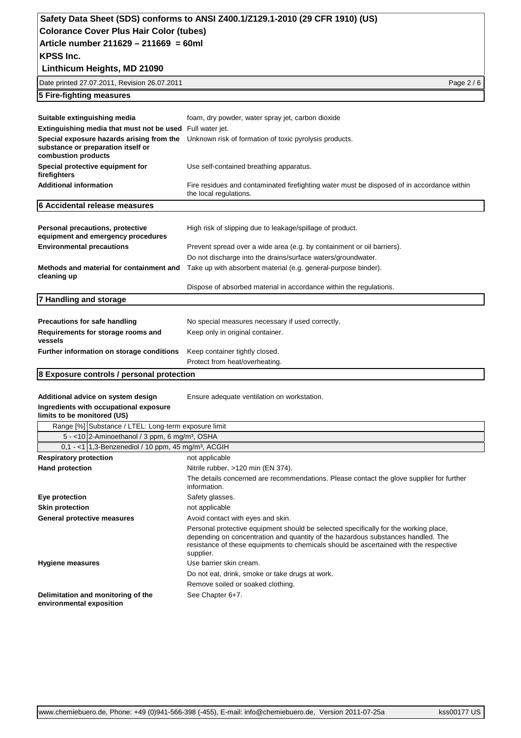# **Safety Data Sheet (SDS) conforms to ANSI Z400.1/Z129.1-2010 (29 CFR 1910) (US)**

**Colorance Cover Plus Hair Color (tubes)**

**Article number 211629 – 211669 = 60ml**

**KPSS Inc.**

| Linthicum Heights, MD 21090                                                                            |                                                                                                                      |
|--------------------------------------------------------------------------------------------------------|----------------------------------------------------------------------------------------------------------------------|
| Date printed 27.07.2011, Revision 26.07.2011                                                           | Page 2 / 6                                                                                                           |
| 5 Fire-fighting measures                                                                               |                                                                                                                      |
|                                                                                                        |                                                                                                                      |
| Suitable extinguishing media                                                                           | foam, dry powder, water spray jet, carbon dioxide                                                                    |
| <b>Extinguishing media that must not be used</b> Full water jet.                                       |                                                                                                                      |
| Special exposure hazards arising from the<br>substance or preparation itself or<br>combustion products | Unknown risk of formation of toxic pyrolysis products.                                                               |
| Special protective equipment for<br>firefighters                                                       | Use self-contained breathing apparatus.                                                                              |
| <b>Additional information</b>                                                                          | Fire residues and contaminated firefighting water must be disposed of in accordance within<br>the local regulations. |
| 6 Accidental release measures                                                                          |                                                                                                                      |
|                                                                                                        |                                                                                                                      |
| Personal precautions, protective<br>equipment and emergency procedures                                 | High risk of slipping due to leakage/spillage of product.                                                            |
| <b>Environmental precautions</b>                                                                       | Prevent spread over a wide area (e.g. by containment or oil barriers).                                               |
|                                                                                                        | Do not discharge into the drains/surface waters/groundwater.                                                         |
| Methods and material for containment and<br>cleaning up                                                | Take up with absorbent material (e.g. general-purpose binder).                                                       |
|                                                                                                        | Dispose of absorbed material in accordance within the regulations.                                                   |
| 7 Handling and storage                                                                                 |                                                                                                                      |
|                                                                                                        |                                                                                                                      |
| <b>Precautions for safe handling</b>                                                                   | No special measures necessary if used correctly.                                                                     |
| Requirements for storage rooms and<br>vessels                                                          | Keep only in original container.                                                                                     |
| Further information on storage conditions                                                              | Keep container tightly closed.                                                                                       |
|                                                                                                        | Protect from heat/overheating.                                                                                       |

#### **8 Exposure controls / personal protection**

Additional advice on system design **Ensure adequate ventilation on workstation**.

### **Ingredients with occupational exposure**

| limits to be monitored (US) |                             |  |  |  |
|-----------------------------|-----------------------------|--|--|--|
|                             | $\sim$ $\sim$ $\sim$ $\sim$ |  |  |  |

|                                                                | Range [%] Substance / LTEL: Long-term exposure limit                                                                                                                                                                                                                           |  |  |
|----------------------------------------------------------------|--------------------------------------------------------------------------------------------------------------------------------------------------------------------------------------------------------------------------------------------------------------------------------|--|--|
|                                                                | 5 - <10 $ 2$ -Aminoethanol / 3 ppm, 6 mg/m <sup>3</sup> , OSHA                                                                                                                                                                                                                 |  |  |
|                                                                | $0.1 - 11.3$ -Benzenediol / 10 ppm, 45 mg/m <sup>3</sup> , ACGIH                                                                                                                                                                                                               |  |  |
| <b>Respiratory protection</b>                                  | not applicable                                                                                                                                                                                                                                                                 |  |  |
| <b>Hand protection</b>                                         | Nitrile rubber, >120 min (EN 374).                                                                                                                                                                                                                                             |  |  |
|                                                                | The details concerned are recommendations. Please contact the glove supplier for further<br>information.                                                                                                                                                                       |  |  |
| Eye protection<br>Safety glasses.                              |                                                                                                                                                                                                                                                                                |  |  |
| <b>Skin protection</b>                                         | not applicable                                                                                                                                                                                                                                                                 |  |  |
| General protective measures                                    | Avoid contact with eyes and skin.                                                                                                                                                                                                                                              |  |  |
|                                                                | Personal protective equipment should be selected specifically for the working place,<br>depending on concentration and quantity of the hazardous substances handled. The<br>resistance of these equipments to chemicals should be ascertained with the respective<br>supplier. |  |  |
| <b>Hygiene measures</b>                                        | Use barrier skin cream.                                                                                                                                                                                                                                                        |  |  |
|                                                                | Do not eat, drink, smoke or take drugs at work.                                                                                                                                                                                                                                |  |  |
|                                                                | Remove soiled or soaked clothing.                                                                                                                                                                                                                                              |  |  |
| Delimitation and monitoring of the<br>environmental exposition | See Chapter 6+7.                                                                                                                                                                                                                                                               |  |  |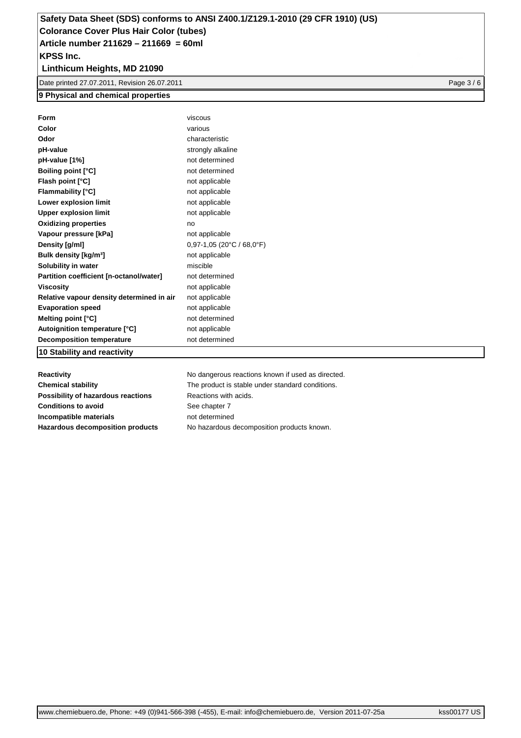### **Linthicum Heights, MD 21090**

Date printed 27.07.2011, Revision 26.07.2011 **Page 3 / 6** and 2010 **Page 3 / 6** and 2010 **Page 3 / 6** and 2010 **Page 3 / 6** and 2010 **Page 3 / 6** and 2010 **Page 3 / 6** and 2010 **Page 3 / 6** and 2011 **Page 3 / 6** and 2011

#### **9 Physical and chemical properties**

| Form                                      | viscous                     |
|-------------------------------------------|-----------------------------|
| Color                                     | various                     |
| Odor                                      | characteristic              |
| pH-value                                  | strongly alkaline           |
| pH-value [1%]                             | not determined              |
| <b>Boiling point [°C]</b>                 | not determined              |
| Flash point [°C]                          | not applicable              |
| <b>Flammability [°C]</b>                  | not applicable              |
| Lower explosion limit                     | not applicable              |
| <b>Upper explosion limit</b>              | not applicable              |
| <b>Oxidizing properties</b>               | no                          |
| Vapour pressure [kPa]                     | not applicable              |
| Density [g/ml]                            | $0,97-1,05$ (20°C / 68,0°F) |
| Bulk density [kg/m <sup>3</sup> ]         | not applicable              |
| Solubility in water                       | miscible                    |
| Partition coefficient [n-octanol/water]   | not determined              |
| Viscositv                                 | not applicable              |
| Relative vapour density determined in air | not applicable              |
| <b>Evaporation speed</b>                  | not applicable              |
| Melting point [°C]                        | not determined              |
| Autoignition temperature [°C]             | not applicable              |
| <b>Decomposition temperature</b>          | not determined              |
| 10 Stability and reactivity               |                             |

**Possibility of hazardous reactions** Reactions with acids. **Conditions to avoid** See chapter 7 **Incompatible materials** not determined

**Reactivity Reactivity Reactions Reactions Reactions Reactions Reactions Reactions Reactions Reactions Reactions Reactions Reactions Reactions Reactions Reactions Reactions Reactions Rea Chemical stability** The product is stable under standard conditions. **Hazardous decomposition products** No hazardous decomposition products known.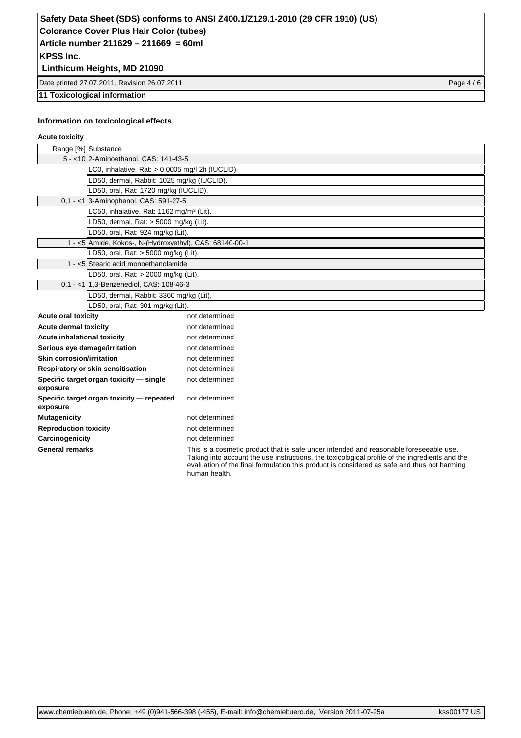## **Safety Data Sheet (SDS) conforms to ANSI Z400.1/Z129.1-2010 (29 CFR 1910) (US)**

**Colorance Cover Plus Hair Color (tubes)**

**KPSS Inc. Article number 211629 – 211669 = 60ml**

## **Linthicum Heights, MD 21090**

Date printed 27.07.2011, Revision 26.07.2011 **Page 4 / 6** and 2012 12:00 Page 4 / 6

#### **11 Toxicological information**

#### **Information on toxicological effects**

#### **Acute toxicity**

| Range [%] Substance                     |                                                         |                                                                                                                                                                                         |  |
|-----------------------------------------|---------------------------------------------------------|-----------------------------------------------------------------------------------------------------------------------------------------------------------------------------------------|--|
|                                         | 5 - < 10 2-Aminoethanol, CAS: 141-43-5                  |                                                                                                                                                                                         |  |
|                                         | LC0, inhalative, Rat: > 0,0005 mg/l 2h (IUCLID).        |                                                                                                                                                                                         |  |
|                                         | LD50, dermal, Rabbit: 1025 mg/kg (IUCLID).              |                                                                                                                                                                                         |  |
|                                         | LD50, oral, Rat: 1720 mg/kg (IUCLID).                   |                                                                                                                                                                                         |  |
|                                         | 0,1 - <1 3-Aminophenol, CAS: 591-27-5                   |                                                                                                                                                                                         |  |
|                                         | LC50, inhalative, Rat: 1162 mg/m <sup>3</sup> (Lit).    |                                                                                                                                                                                         |  |
|                                         | LD50, dermal, Rat: > 5000 mg/kg (Lit).                  |                                                                                                                                                                                         |  |
|                                         | LD50, oral, Rat: 924 mg/kg (Lit).                       |                                                                                                                                                                                         |  |
|                                         | 1 - <5 Amide, Kokos-, N-(Hydroxyethyl), CAS: 68140-00-1 |                                                                                                                                                                                         |  |
|                                         | LD50, oral, Rat: > 5000 mg/kg (Lit).                    |                                                                                                                                                                                         |  |
|                                         | 1 - <5 Stearic acid monoethanolamide                    |                                                                                                                                                                                         |  |
|                                         | LD50, oral, Rat: > 2000 mg/kg (Lit).                    |                                                                                                                                                                                         |  |
|                                         | 0.1 - <1 1.3-Benzenediol, CAS: 108-46-3                 |                                                                                                                                                                                         |  |
| LD50, dermal, Rabbit: 3360 mg/kg (Lit). |                                                         |                                                                                                                                                                                         |  |
|                                         | LD50, oral, Rat: 301 mg/kg (Lit).                       |                                                                                                                                                                                         |  |
| <b>Acute oral toxicity</b>              |                                                         | not determined                                                                                                                                                                          |  |
| <b>Acute dermal toxicity</b>            |                                                         | not determined                                                                                                                                                                          |  |
| Acute inhalational toxicity             |                                                         | not determined                                                                                                                                                                          |  |
| Serious eye damage/irritation           |                                                         | not determined                                                                                                                                                                          |  |
| <b>Skin corrosion/irritation</b>        |                                                         | not determined                                                                                                                                                                          |  |
|                                         | Respiratory or skin sensitisation                       | not determined                                                                                                                                                                          |  |
| exposure                                | Specific target organ toxicity - single                 | not determined                                                                                                                                                                          |  |
| exposure                                | Specific target organ toxicity - repeated               | not determined                                                                                                                                                                          |  |
| <b>Mutagenicity</b>                     |                                                         | not determined                                                                                                                                                                          |  |
| <b>Reproduction toxicity</b>            |                                                         | not determined                                                                                                                                                                          |  |
| Carcinogenicity                         |                                                         | not determined                                                                                                                                                                          |  |
| <b>General remarks</b>                  |                                                         | This is a cosmetic product that is safe under intended and reasonable foreseeable use.<br>Taking into account the use instructions the toxicological profile of the ingredients and the |  |

Taking into account the use instructions, the toxicological profile of the ingredients and the evaluation of the final formulation this product is considered as safe and thus not harming human health.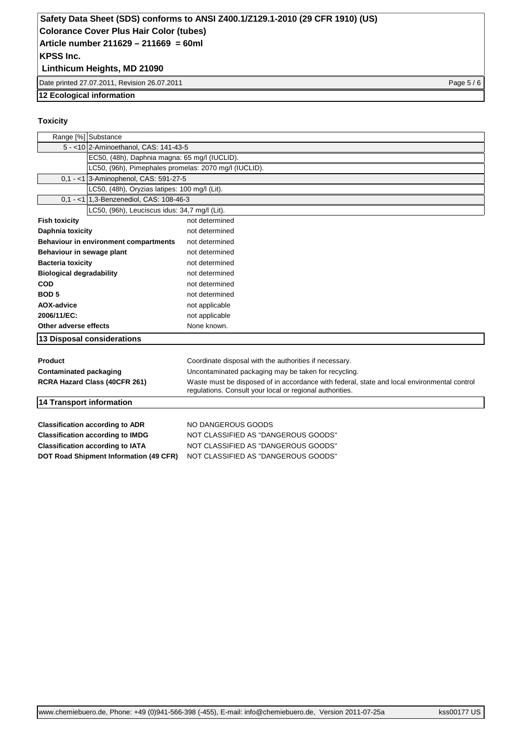#### **Linthicum Heights, MD 21090**

Date printed 27.07.2011, Revision 26.07.2011 Page 5 / 6

#### **12 Ecological information**

#### **Toxicity**

| Range [%] Substance                           |                                                                                                                                                         |  |  |  |
|-----------------------------------------------|---------------------------------------------------------------------------------------------------------------------------------------------------------|--|--|--|
| 5 - < 10 2-Aminoethanol, CAS: 141-43-5        |                                                                                                                                                         |  |  |  |
|                                               | EC50, (48h), Daphnia magna: 65 mg/l (IUCLID).                                                                                                           |  |  |  |
|                                               | LC50, (96h), Pimephales promelas: 2070 mg/l (IUCLID).                                                                                                   |  |  |  |
| 0.1 - <1 3-Aminophenol, CAS: 591-27-5         |                                                                                                                                                         |  |  |  |
| LC50, (48h), Oryzias latipes: 100 mg/l (Lit). |                                                                                                                                                         |  |  |  |
| 0.1 - <1 1.3-Benzenediol, CAS: 108-46-3       |                                                                                                                                                         |  |  |  |
| LC50, (96h), Leuciscus idus: 34,7 mg/l (Lit). |                                                                                                                                                         |  |  |  |
| <b>Fish toxicity</b>                          | not determined                                                                                                                                          |  |  |  |
| Daphnia toxicity                              | not determined                                                                                                                                          |  |  |  |
| Behaviour in environment compartments         | not determined                                                                                                                                          |  |  |  |
| Behaviour in sewage plant                     | not determined                                                                                                                                          |  |  |  |
| <b>Bacteria toxicity</b>                      | not determined                                                                                                                                          |  |  |  |
| <b>Biological degradability</b>               | not determined                                                                                                                                          |  |  |  |
| <b>COD</b>                                    | not determined                                                                                                                                          |  |  |  |
| BOD <sub>5</sub>                              | not determined                                                                                                                                          |  |  |  |
| AOX-advice                                    | not applicable                                                                                                                                          |  |  |  |
| 2006/11/EC:                                   | not applicable                                                                                                                                          |  |  |  |
| Other adverse effects                         | None known.                                                                                                                                             |  |  |  |
| 13 Disposal considerations                    |                                                                                                                                                         |  |  |  |
| Product                                       | Coordinate disposal with the authorities if necessary.                                                                                                  |  |  |  |
| <b>Contaminated packaging</b>                 | Uncontaminated packaging may be taken for recycling.                                                                                                    |  |  |  |
| RCRA Hazard Class (40CFR 261)                 | Waste must be disposed of in accordance with federal, state and local environmental control<br>regulations. Consult your local or regional authorities. |  |  |  |
| 14 Transport information                      |                                                                                                                                                         |  |  |  |
| <b>Classification according to ADR</b>        | NO DANGEROUS GOODS                                                                                                                                      |  |  |  |
| <b>Classification according to IMDG</b>       | NOT CLASSIFIED AS "DANGEROUS GOODS"                                                                                                                     |  |  |  |
| <b>Classification according to IATA</b>       | NOT CLASSIFIED AS "DANGEROUS GOODS"                                                                                                                     |  |  |  |
| DOT Road Shipment Information (49 CFR)        | NOT CLASSIFIED AS "DANGEROUS GOODS"                                                                                                                     |  |  |  |